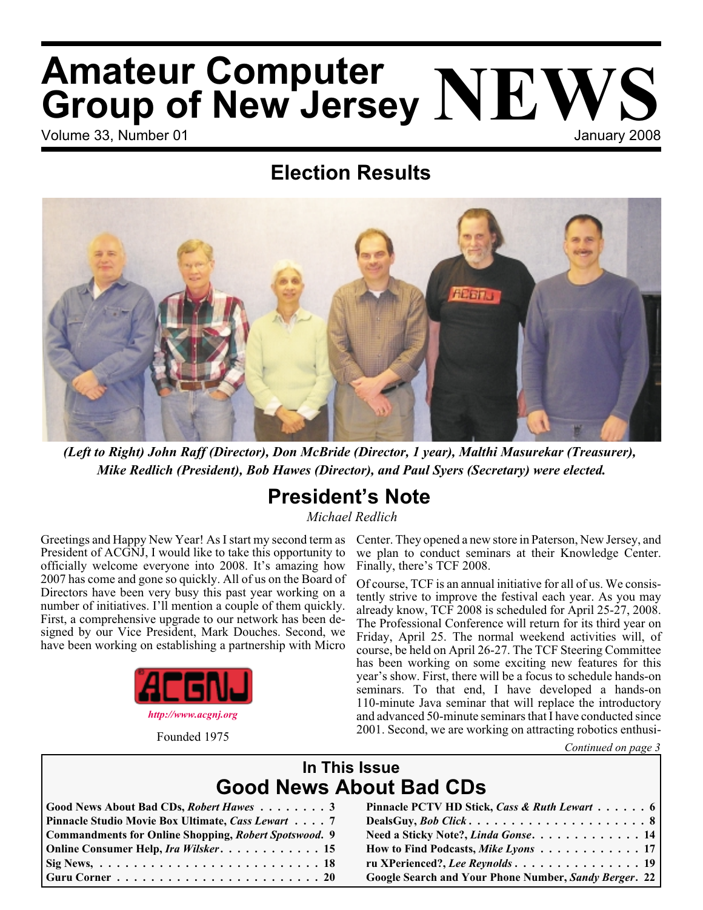# Volume 33, Number 01 January 2008 **Amateur Computer Group of New Jersey NEWS**

## **Election Results**



*(Left to Right) John Raff (Director), Don McBride (Director, 1 year), Malthi Masurekar (Treasurer), Mike Redlich (President), Bob Hawes (Director), and Paul Syers (Secretary) were elected.*

### **President's Note**

*Michael Redlich*

Greetings and Happy New Year! As I start my second term as President of ACGNJ, I would like to take this opportunity to officially welcome everyone into 2008. It's amazing how 2007 has come and gone so quickly. All of us on the Board of Directors have been very busy this past year working on a number of initiatives. I'll mention a couple of them quickly. First, a comprehensive upgrade to our network has been designed by our Vice President, Mark Douches. Second, we have been working on establishing a partnership with Micro



Founded 1975

Center. They opened a new store in Paterson, New Jersey, and we plan to conduct seminars at their Knowledge Center. Finally, there's TCF 2008.

Of course, TCF is an annual initiative for all of us. We consistently strive to improve the festival each year. As you may already know, TCF 2008 is scheduled for April 25-27, 2008. The Professional Conference will return for its third year on Friday, April 25. The normal weekend activities will, of course, be held on April 26-27. The TCF Steering Committee has been working on some exciting new features for this year's show. First, there will be a focus to schedule hands-on seminars. To that end, I have developed a hands-on 110-minute Java seminar that will replace the introductory and advanced 50-minute seminars that I have conducted since 2001. Second, we are working on attracting robotics enthusi-

*Continued on page 3*

### **In This Issue Good News About Bad CDs**

| Good News About Bad CDs, Robert Hawes 3                      |
|--------------------------------------------------------------|
| Pinnacle Studio Movie Box Ultimate, Cass Lewart 7            |
| <b>Commandments for Online Shopping, Robert Spotswood. 9</b> |
| Online Consumer Help, Ira Wilsker. 15                        |
|                                                              |
|                                                              |

| Good News About Bad CDs, Robert Hawes 3                               | Pinnacle PCTV HD Stick, Cass & Ruth Lewart 6          |
|-----------------------------------------------------------------------|-------------------------------------------------------|
| Pinnacle Studio Movie Box Ultimate, Cass Lewart 7                     |                                                       |
| Commandments for Online Shopping, Robert Spotswood. 9                 | Need a Sticky Note?, Linda Gonse. 14                  |
| Online Consumer Help, Ira Wilsker 15                                  | How to Find Podcasts, Mike Lyons 17                   |
|                                                                       | ru XPerienced?, Lee Reynolds 19                       |
| Guru Corner $\dots\dots\dots\dots\dots\dots\dots\dots\dots$ . 20 $\,$ | Google Search and Your Phone Number, Sandy Berger. 22 |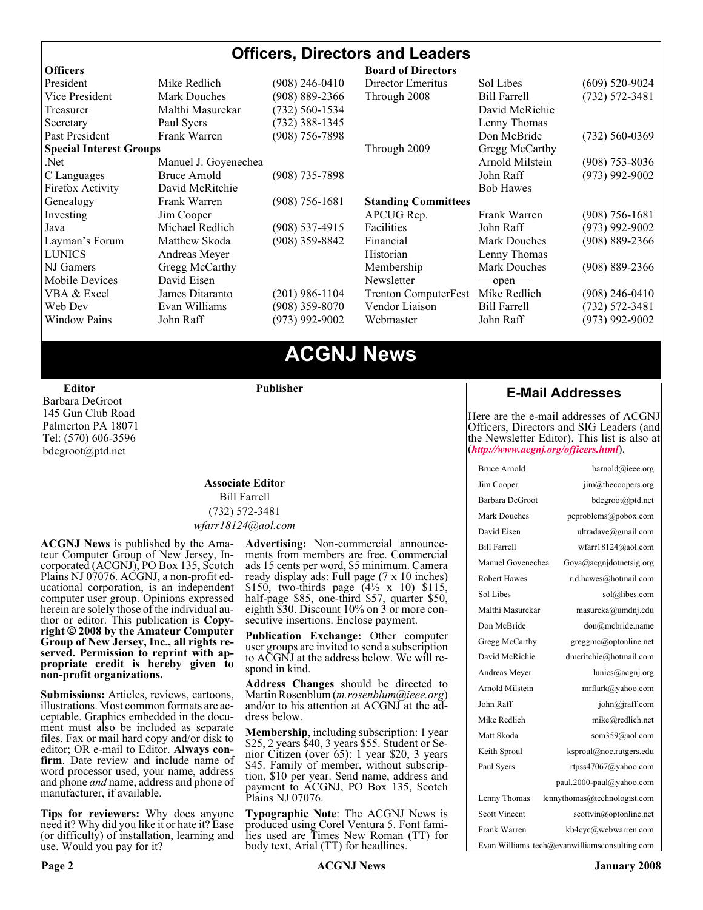#### **Officers, Directors and Leaders**

| <b>Officers</b>                |                      |                    | <b>Board of Directors</b>   |                     |                    |
|--------------------------------|----------------------|--------------------|-----------------------------|---------------------|--------------------|
| President                      | Mike Redlich         | (908) 246-0410     | Director Emeritus           | Sol Libes           | $(609)$ 520-9024   |
| Vice President                 | <b>Mark Douches</b>  | $(908) 889 - 2366$ | Through 2008                | <b>Bill Farrell</b> | $(732) 572 - 3481$ |
| Treasurer                      | Malthi Masurekar     | $(732) 560 - 1534$ |                             | David McRichie      |                    |
| Secretary                      | Paul Syers           | $(732)$ 388-1345   |                             | Lenny Thomas        |                    |
| Past President                 | Frank Warren         | $(908)$ 756-7898   |                             | Don McBride         | $(732) 560 - 0369$ |
| <b>Special Interest Groups</b> |                      |                    | Through 2009                | Gregg McCarthy      |                    |
| Net.                           | Manuel J. Goyenechea |                    |                             | Arnold Milstein     | $(908)$ 753-8036   |
| C Languages                    | Bruce Arnold         | $(908)$ 735-7898   |                             | John Raff           | $(973)$ 992-9002   |
| Firefox Activity               | David McRitchie      |                    |                             | <b>Bob Hawes</b>    |                    |
| Genealogy                      | Frank Warren         | $(908) 756 - 1681$ | <b>Standing Committees</b>  |                     |                    |
| Investing                      | Jim Cooper           |                    | APCUG Rep.                  | Frank Warren        | $(908)$ 756-1681   |
| Java                           | Michael Redlich      | $(908)$ 537-4915   | Facilities                  | John Raff           | $(973)$ 992-9002   |
| Layman's Forum                 | Matthew Skoda        | (908) 359-8842     | Financial                   | <b>Mark Douches</b> | $(908) 889 - 2366$ |
| <b>LUNICS</b>                  | Andreas Meyer        |                    | Historian                   | Lenny Thomas        |                    |
| NJ Gamers                      | Gregg McCarthy       |                    | Membership                  | Mark Douches        | $(908) 889 - 2366$ |
| <b>Mobile Devices</b>          | David Eisen          |                    | Newsletter                  | $-$ open $-$        |                    |
| VBA & Excel                    | James Ditaranto      | $(201)$ 986-1104   | <b>Trenton ComputerFest</b> | Mike Redlich        | $(908)$ 246-0410   |
| Web Dev                        | Evan Williams        | $(908)$ 359-8070   | Vendor Liaison              | <b>Bill Farrell</b> | $(732) 572 - 3481$ |
| <b>Window Pains</b>            | John Raff            | $(973)$ 992-9002   | Webmaster                   | John Raff           | $(973)$ 992-9002   |
|                                |                      |                    |                             |                     |                    |

### **ACGNJ News**

**Editor**

Barbara DeGroot 145 Gun Club Road Palmerton PA 18071 Tel: (570) 606-3596 bdegroot@ptd.net

#### **Associate Editor** Bill Farrell (732) 572-3481 *wfarr18124@aol.com*

**Publisher**

**ACGNJ News** is published by the Ama- teur Computer Group of New Jersey, In- corporated (ACGNJ), PO Box 135, Scotch Plains NJ 07076. ACGNJ, a non-profit ed-<br>ucational corporation, is an independent computer user group. Opinions expressed<br>herein are solely those of the individual author or editor. This publication is **Copy-**<br>right © 2008 by the Amateur Computer<br>Group of New Jersey, Inc., all rights re-**Group of New Jersey, Inc., all rights re- served. Permission to reprint with ap- propriate credit is hereby given to non-profit organizations.**

**Submissions:** Articles, reviews, cartoons, illustrations. Most common formats are acceptable. Graphics embedded in the docu-<br>ment must also be included as separate files. Fax or mail hard copy and/or disk to editor: OR e-mail to Editor. **Always con**firm. Date review and include name of word processor used, your name, address and phone *and* name, address and phone of manufacturer, if available.

**Tips for reviewers:** Why does anyone need it? Why did you like it or hate it? Ease (or difficulty) of installation, learning and use. Would you pay for it?

**Advertising:** Non-commercial announce- ments from members are free. Commercial ads 15 cents per word, \$5 minimum. Camera ready display ads: Full page (7 x 10 inches) \$150, two-thirds page (4½ x 10) \$115, half-page \$85, one-third \$57, quarter \$50, eighth \$30. Discount 10% on 3 or more con- secutive insertions. Enclose payment.

**Publication Exchange:** Other computer user groups are invited to send a subscription to ACGNJ at the address below. We will re- spond in kind.

**Address Changes** should be directed to Martin Rosenblum (*m.rosenblum@ieee.org*) and/or to his attention at ACGNJ at the ad- dress below.

**Membership**, including subscription: 1 year \$25, 2 years \$40, 3 years \$55. Student or Senior Citizen (over 65): 1 year \$20, 3 years \$45. Family of member, without subscription, \$10 per year. Send name, address and payment to ACGNJ, PO Box 135, Scotch Plains NJ 07076.

**Typographic Note**: The ACGNJ News is produced using Corel Ventura 5. Font fami- lies used are Times New Roman (TT) for body text, Arial (TT) for headlines.

#### **E-Mail Addresses**

Here are the e-mail addresses of ACGNJ Officers, Directors and SIG Leaders (and the Newsletter Editor). This list is also at (*<http://www.acgnj.org/officers.html>*).

| <b>Bruce Arnold</b>                           | barnold@ieee.org             |  |  |  |
|-----------------------------------------------|------------------------------|--|--|--|
| Jim Cooper                                    | jim@thecoopers.org           |  |  |  |
| Barbara DeGroot                               | bdegroot@ptd.net             |  |  |  |
| Mark Douches                                  | pcproblems@pobox.com         |  |  |  |
| David Eisen                                   | ultradave@gmail.com          |  |  |  |
| <b>Bill Farrell</b>                           | wfarr18124@aol.com           |  |  |  |
| Manuel Govenechea                             | Goya@acgnidotnetsig.org      |  |  |  |
| <b>Robert Hawes</b>                           | r.d.hawes@hotmail.com        |  |  |  |
| Sol Libes                                     | sol@libes.com                |  |  |  |
| Malthi Masurekar                              | masureka@umdnj.edu           |  |  |  |
| Don McBride                                   | don@mcbride.name             |  |  |  |
| Gregg McCarthy                                | greggmc@optonline.net        |  |  |  |
| David McRichie                                | dmcritchie@hotmail.com       |  |  |  |
| Andreas Meyer                                 | lunics@acgnj.org             |  |  |  |
| Arnold Milstein                               | mrflark@yahoo.com            |  |  |  |
| John Raff                                     | john@jraff.com               |  |  |  |
| Mike Redlich                                  | mike@redlich.net             |  |  |  |
| Matt Skoda                                    | som359@aol.com               |  |  |  |
| Keith Sproul                                  | ksproul@noc.rutgers.edu      |  |  |  |
| Paul Syers                                    | rtpss47067@yahoo.com         |  |  |  |
|                                               | paul.2000-paul@yahoo.com     |  |  |  |
| Lenny Thomas                                  | lennythomas@technologist.com |  |  |  |
| <b>Scott Vincent</b>                          | scottvin@optonline.net       |  |  |  |
| Frank Warren                                  | kb4cyc@webwarren.com         |  |  |  |
| Evan Williams tech@evanwilliamsconsulting.com |                              |  |  |  |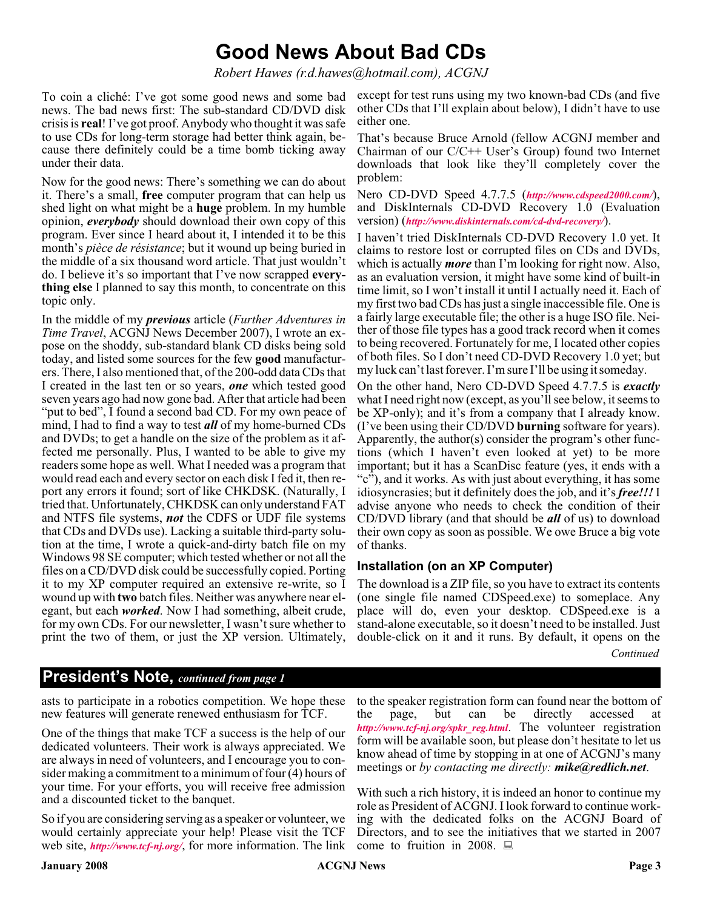### **Good News About Bad CDs**

*Robert Hawes (r.d.hawes@hotmail.com), ACGNJ*

To coin a cliché: I've got some good news and some bad news. The bad news first: The sub-standard CD/DVD disk crisis is **real**! I've got proof. Anybody who thought it was safe to use CDs for long-term storage had better think again, because there definitely could be a time bomb ticking away under their data.

Now for the good news: There's something we can do about it. There's a small, **free** computer program that can help us shed light on what might be a **huge** problem. In my humble opinion, *everybody* should download their own copy of this program. Ever since I heard about it, I intended it to be this month's *pièce de résistance*; but it wound up being buried in the middle of a six thousand word article. That just wouldn't do. I believe it's so important that I've now scrapped **everything else** I planned to say this month, to concentrate on this topic only.

In the middle of my *previous* article (*Further Adventures in Time Travel*, ACGNJ News December 2007), I wrote an expose on the shoddy, sub-standard blank CD disks being sold today, and listed some sources for the few **good** manufacturers. There, I also mentioned that, of the 200-odd data CDs that I created in the last ten or so years, *one* which tested good seven years ago had now gone bad. After that article had been "put to bed", I found a second bad CD. For my own peace of mind, I had to find a way to test *all* of my home-burned CDs and DVDs; to get a handle on the size of the problem as it affected me personally. Plus, I wanted to be able to give my readers some hope as well. What I needed was a program that would read each and every sector on each disk I fed it, then report any errors it found; sort of like CHKDSK. (Naturally, I tried that. Unfortunately, CHKDSK can only understand FAT and NTFS file systems, *not* the CDFS or UDF file systems that CDs and DVDs use). Lacking a suitable third-party solution at the time, I wrote a quick-and-dirty batch file on my Windows 98 SE computer; which tested whether or not all the files on a CD/DVD disk could be successfully copied. Porting it to my XP computer required an extensive re-write, so I wound up with **two** batch files. Neither was anywhere near elegant, but each *worked*. Now I had something, albeit crude, for my own CDs. For our newsletter, I wasn't sure whether to print the two of them, or just the XP version. Ultimately,

except for test runs using my two known-bad CDs (and five other CDs that I'll explain about below), I didn't have to use either one.

That's because Bruce Arnold (fellow ACGNJ member and Chairman of our C/C++ User's Group) found two Internet downloads that look like they'll completely cover the problem:

Nero CD-DVD Speed 4.7.7.5 (*<http://www.cdspeed2000.com/>*), and DiskInternals CD-DVD Recovery 1.0 (Evaluation version) (*<http://www.diskinternals.com/cd-dvd-recovery/>*).

I haven't tried DiskInternals CD-DVD Recovery 1.0 yet. It claims to restore lost or corrupted files on CDs and DVDs, which is actually *more* than I'm looking for right now. Also, as an evaluation version, it might have some kind of built-in time limit, so I won't install it until I actually need it. Each of my first two bad CDs has just a single inaccessible file. One is a fairly large executable file; the other is a huge ISO file. Neither of those file types has a good track record when it comes to being recovered. Fortunately for me, I located other copies of both files. So I don't need CD-DVD Recovery 1.0 yet; but my luck can't last forever. I'm sure I'll be using it someday.

On the other hand, Nero CD-DVD Speed 4.7.7.5 is *exactly* what I need right now (except, as you'll see below, it seems to be XP-only); and it's from a company that I already know. (I've been using their CD/DVD **burning** software for years). Apparently, the author(s) consider the program's other functions (which I haven't even looked at yet) to be more important; but it has a ScanDisc feature (yes, it ends with a "c"), and it works. As with just about everything, it has some idiosyncrasies; but it definitely does the job, and it's *free!!!* I advise anyone who needs to check the condition of their CD/DVD library (and that should be *all* of us) to download their own copy as soon as possible. We owe Bruce a big vote of thanks.

#### **Installation (on an XP Computer)**

*Continued* The download is a ZIP file, so you have to extract its contents (one single file named CDSpeed.exe) to someplace. Any place will do, even your desktop. CDSpeed.exe is a stand-alone executable, so it doesn't need to be installed. Just double-click on it and it runs. By default, it opens on the

#### **President's Note,** *continued from page 1*

asts to participate in a robotics competition. We hope these new features will generate renewed enthusiasm for TCF.

One of the things that make TCF a success is the help of our dedicated volunteers. Their work is always appreciated. We are always in need of volunteers, and I encourage you to consider making a commitment to a minimum of four (4) hours of your time. For your efforts, you will receive free admission and a discounted ticket to the banquet.

So if you are considering serving as a speaker or volunteer, we would certainly appreciate your help! Please visit the TCF web site, *<http://www.tcf-nj.org/>*, for more information. The link

to the speaker registration form can found near the bottom of<br>the page, but can be directly accessed at the page, but can be directly accessed at *[http://www.tcf-nj.org/spkr\\_reg.html](http://www.tcf-nj.org/spkr_reg.html)*. The volunteer registration form will be available soon, but please don't hesitate to let us know ahead of time by stopping in at one of ACGNJ's many meetings or *by contacting me directly: mike@redlich.net*.

With such a rich history, it is indeed an honor to continue my role as President of ACGNJ. I look forward to continue working with the dedicated folks on the ACGNJ Board of Directors, and to see the initiatives that we started in 2007 come to fruition in 2008.  $\Box$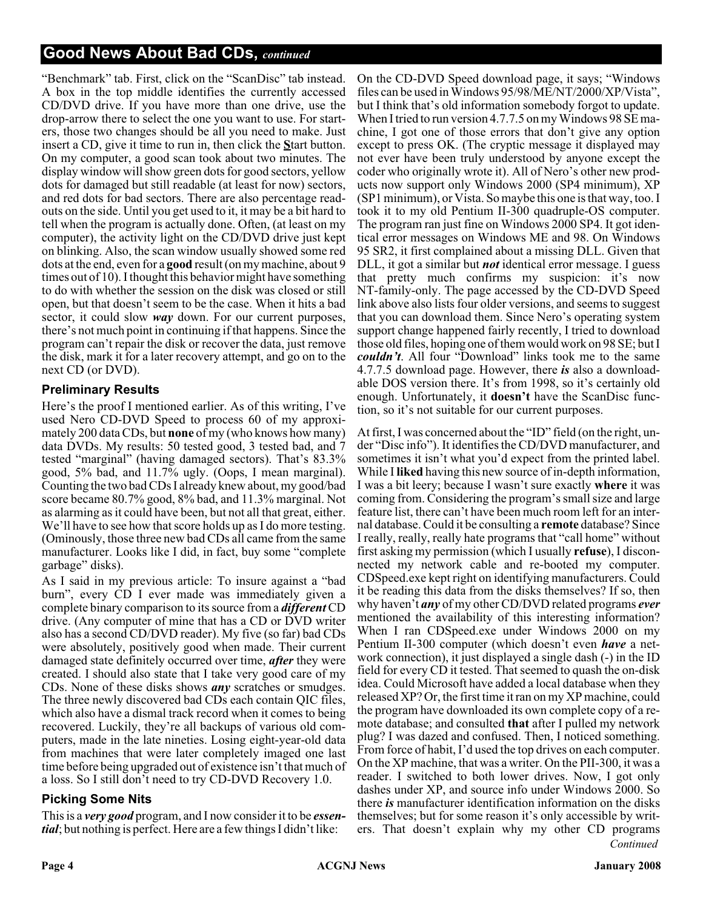#### **Good News About Bad CDs,** *continued*

"Benchmark" tab. First, click on the "ScanDisc" tab instead. A box in the top middle identifies the currently accessed CD/DVD drive. If you have more than one drive, use the drop-arrow there to select the one you want to use. For starters, those two changes should be all you need to make. Just insert a CD, give it time to run in, then click the **S**tart button. On my computer, a good scan took about two minutes. The display window will show green dots for good sectors, yellow dots for damaged but still readable (at least for now) sectors, and red dots for bad sectors. There are also percentage readouts on the side. Until you get used to it, it may be a bit hard to tell when the program is actually done. Often, (at least on my computer), the activity light on the CD/DVD drive just kept on blinking. Also, the scan window usually showed some red dots at the end, even for a **good** result (on my machine, about 9 times out of 10). I thought this behavior might have something to do with whether the session on the disk was closed or still open, but that doesn't seem to be the case. When it hits a bad sector, it could slow *way* down. For our current purposes, there's not much point in continuing if that happens. Since the program can't repair the disk or recover the data, just remove the disk, mark it for a later recovery attempt, and go on to the next CD (or DVD).

#### **Preliminary Results**

Here's the proof I mentioned earlier. As of this writing, I've used Nero CD-DVD Speed to process 60 of my approximately 200 data CDs, but **none** of my (who knows how many) data DVDs. My results: 50 tested good, 3 tested bad, and 7 tested "marginal" (having damaged sectors). That's 83.3% good, 5% bad, and 11.7% ugly. (Oops, I mean marginal). Counting the two bad CDs I already knew about, my good/bad score became 80.7% good, 8% bad, and 11.3% marginal. Not as alarming as it could have been, but not all that great, either. We'll have to see how that score holds up as I do more testing. (Ominously, those three new bad CDs all came from the same manufacturer. Looks like I did, in fact, buy some "complete garbage" disks).

As I said in my previous article: To insure against a "bad burn", every CD I ever made was immediately given a complete binary comparison to its source from a *different* CD drive. (Any computer of mine that has a CD or DVD writer also has a second CD/DVD reader). My five (so far) bad CDs were absolutely, positively good when made. Their current damaged state definitely occurred over time, *after* they were created. I should also state that I take very good care of my CDs. None of these disks shows *any* scratches or smudges. The three newly discovered bad CDs each contain QIC files, which also have a dismal track record when it comes to being recovered. Luckily, they're all backups of various old computers, made in the late nineties. Losing eight-year-old data from machines that were later completely imaged one last time before being upgraded out of existence isn't that much of a loss. So I still don't need to try CD-DVD Recovery 1.0.

#### **Picking Some Nits**

This is a *very good* program, and I now consider it to be *essential*; but nothing is perfect. Here are a few things I didn't like:

On the CD-DVD Speed download page, it says; "Windows files can be used in Windows 95/98/ME/NT/2000/XP/Vista", but I think that's old information somebody forgot to update. When I tried to run version 4.7.7.5 on my Windows 98 SE machine, I got one of those errors that don't give any option except to press OK. (The cryptic message it displayed may not ever have been truly understood by anyone except the coder who originally wrote it). All of Nero's other new products now support only Windows 2000 (SP4 minimum), XP (SP1 minimum), or Vista. So maybe this one is that way, too. I took it to my old Pentium II-300 quadruple-OS computer. The program ran just fine on Windows 2000 SP4. It got identical error messages on Windows ME and 98. On Windows 95 SR2, it first complained about a missing DLL. Given that DLL, it got a similar but *not* identical error message. I guess that pretty much confirms my suspicion: it's now NT-family-only. The page accessed by the CD-DVD Speed link above also lists four older versions, and seems to suggest that you can download them. Since Nero's operating system support change happened fairly recently, I tried to download those old files, hoping one of them would work on 98 SE; but I *couldn't.* All four "Download" links took me to the same 4.7.7.5 download page. However, there *is* also a downloadable DOS version there. It's from 1998, so it's certainly old enough. Unfortunately, it **doesn't** have the ScanDisc function, so it's not suitable for our current purposes.

*Continued* At first, I was concerned about the "ID" field (on the right, under "Disc info"). It identifies the CD/DVD manufacturer, and sometimes it isn't what you'd expect from the printed label. While I **liked** having this new source of in-depth information, I was a bit leery; because I wasn't sure exactly **where** it was coming from. Considering the program's small size and large feature list, there can't have been much room left for an internal database. Could it be consulting a **remote** database? Since I really, really, really hate programs that "call home" without first asking my permission (which I usually **refuse**), I disconnected my network cable and re-booted my computer. CDSpeed.exe kept right on identifying manufacturers. Could it be reading this data from the disks themselves? If so, then why haven't *any* of my other CD/DVD related programs *ever* mentioned the availability of this interesting information? When I ran CDSpeed.exe under Windows 2000 on my Pentium II-300 computer (which doesn't even *have* a network connection), it just displayed a single dash (-) in the ID field for every CD it tested. That seemed to quash the on-disk idea. Could Microsoft have added a local database when they released XP? Or, the first time it ran on my XP machine, could the program have downloaded its own complete copy of a remote database; and consulted **that** after I pulled my network plug? I was dazed and confused. Then, I noticed something. From force of habit, I'd used the top drives on each computer. On the XP machine, that was a writer. On the PII-300, it was a reader. I switched to both lower drives. Now, I got only dashes under XP, and source info under Windows 2000. So there *is* manufacturer identification information on the disks themselves; but for some reason it's only accessible by writers. That doesn't explain why my other CD programs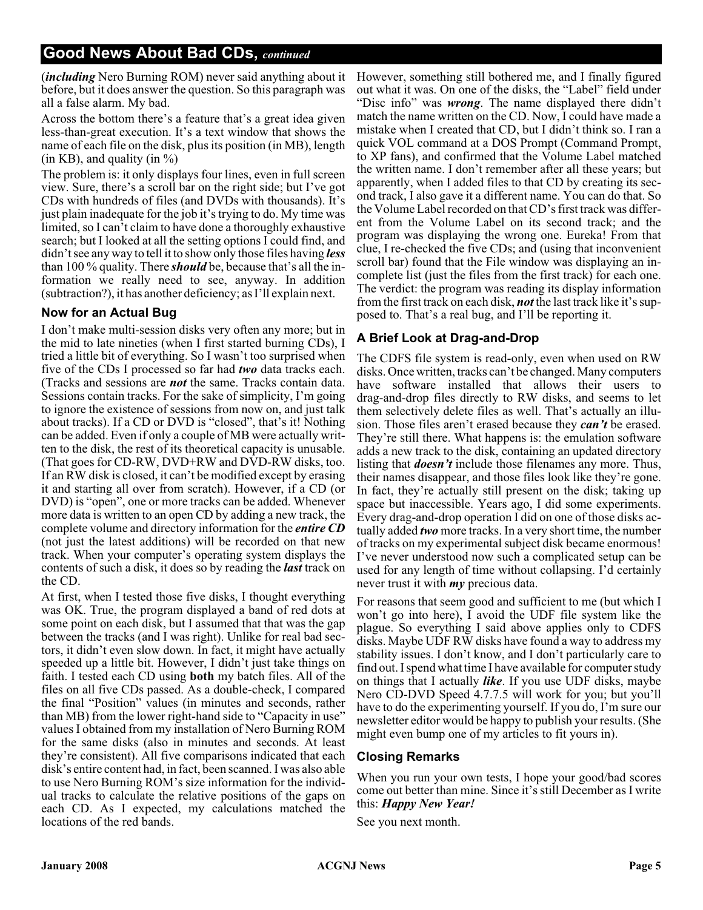(*including* Nero Burning ROM) never said anything about it before, but it does answer the question. So this paragraph was all a false alarm. My bad.

Across the bottom there's a feature that's a great idea given less-than-great execution. It's a text window that shows the name of each file on the disk, plus its position (in MB), length (in KB), and quality (in  $\%$ )

The problem is: it only displays four lines, even in full screen view. Sure, there's a scroll bar on the right side; but I've got CDs with hundreds of files (and DVDs with thousands). It's just plain inadequate for the job it's trying to do. My time was limited, so I can't claim to have done a thoroughly exhaustive search; but I looked at all the setting options I could find, and didn't see any way to tell it to show only those files having *less* than 100 % quality. There *should* be, because that's all the information we really need to see, anyway. In addition (subtraction?), it has another deficiency; as I'll explain next.

#### **Now for an Actual Bug**

I don't make multi-session disks very often any more; but in the mid to late nineties (when I first started burning CDs), I tried a little bit of everything. So I wasn't too surprised when five of the CDs I processed so far had *two* data tracks each. (Tracks and sessions are *not* the same. Tracks contain data. Sessions contain tracks. For the sake of simplicity, I'm going to ignore the existence of sessions from now on, and just talk about tracks). If a CD or DVD is "closed", that's it! Nothing can be added. Even if only a couple of MB were actually written to the disk, the rest of its theoretical capacity is unusable. (That goes for CD-RW, DVD+RW and DVD-RW disks, too. If an RW disk is closed, it can't be modified except by erasing it and starting all over from scratch). However, if a CD (or DVD) is "open", one or more tracks can be added. Whenever more data is written to an open CD by adding a new track, the complete volume and directory information for the *entire CD* (not just the latest additions) will be recorded on that new track. When your computer's operating system displays the contents of such a disk, it does so by reading the *last* track on the CD.

At first, when I tested those five disks, I thought everything was OK. True, the program displayed a band of red dots at some point on each disk, but I assumed that that was the gap between the tracks (and I was right). Unlike for real bad sectors, it didn't even slow down. In fact, it might have actually speeded up a little bit. However, I didn't just take things on faith. I tested each CD using **both** my batch files. All of the files on all five CDs passed. As a double-check, I compared the final "Position" values (in minutes and seconds, rather than MB) from the lower right-hand side to "Capacity in use" values I obtained from my installation of Nero Burning ROM for the same disks (also in minutes and seconds. At least they're consistent). All five comparisons indicated that each disk's entire content had, in fact, been scanned. I was also able to use Nero Burning ROM's size information for the individual tracks to calculate the relative positions of the gaps on each CD. As I expected, my calculations matched the locations of the red bands.

However, something still bothered me, and I finally figured out what it was. On one of the disks, the "Label" field under "Disc info" was *wrong*. The name displayed there didn't match the name written on the CD. Now, I could have made a mistake when I created that CD, but I didn't think so. I ran a quick VOL command at a DOS Prompt (Command Prompt, to XP fans), and confirmed that the Volume Label matched the written name. I don't remember after all these years; but apparently, when I added files to that CD by creating its second track, I also gave it a different name. You can do that. So the Volume Label recorded on that CD's first track was different from the Volume Label on its second track; and the program was displaying the wrong one. Eureka! From that clue, I re-checked the five CDs; and (using that inconvenient scroll bar) found that the File window was displaying an incomplete list (just the files from the first track) for each one. The verdict: the program was reading its display information from the first track on each disk, *not* the last track like it's supposed to. That's a real bug, and I'll be reporting it.

#### **A Brief Look at Drag-and-Drop**

The CDFS file system is read-only, even when used on RW disks. Once written, tracks can't be changed. Many computers have software installed that allows their users to drag-and-drop files directly to RW disks, and seems to let them selectively delete files as well. That's actually an illusion. Those files aren't erased because they *can't* be erased. They're still there. What happens is: the emulation software adds a new track to the disk, containing an updated directory listing that *doesn't* include those filenames any more. Thus, their names disappear, and those files look like they're gone. In fact, they're actually still present on the disk; taking up space but inaccessible. Years ago, I did some experiments. Every drag-and-drop operation I did on one of those disks actually added *two* more tracks. In a very short time, the number of tracks on my experimental subject disk became enormous! I've never understood now such a complicated setup can be used for any length of time without collapsing. I'd certainly never trust it with *my* precious data.

For reasons that seem good and sufficient to me (but which I won't go into here), I avoid the UDF file system like the plague. So everything I said above applies only to CDFS disks. Maybe UDF RW disks have found a way to address my stability issues. I don't know, and I don't particularly care to find out. I spend what time I have available for computer study on things that I actually *like*. If you use UDF disks, maybe Nero CD-DVD Speed 4.7.7.5 will work for you; but you'll have to do the experimenting yourself. If you do, I'm sure our newsletter editor would be happy to publish your results. (She might even bump one of my articles to fit yours in).

#### **Closing Remarks**

When you run your own tests, I hope your good/bad scores come out better than mine. Since it's still December as I write this: *Happy New Year!*

See you next month.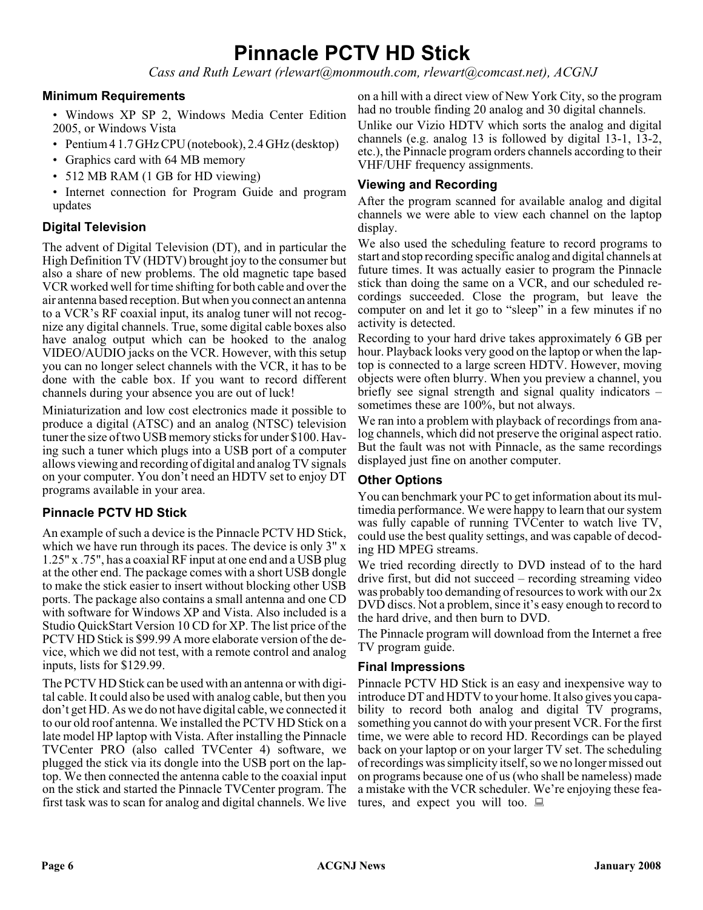## **Pinnacle PCTV HD Stick**

*Cass and Ruth Lewart (rlewart@monmouth.com, rlewart@comcast.net), ACGNJ*

#### **Minimum Requirements**

• Windows XP SP 2, Windows Media Center Edition 2005, or Windows Vista

- Pentium 4 1.7 GHz CPU (notebook), 2.4 GHz (desktop)
- Graphics card with 64 MB memory
- 512 MB RAM (1 GB for HD viewing)
- Internet connection for Program Guide and program updates

#### **Digital Television**

The advent of Digital Television (DT), and in particular the High Definition TV (HDTV) brought joy to the consumer but also a share of new problems. The old magnetic tape based VCR worked well for time shifting for both cable and over the air antenna based reception. But when you connect an antenna to a VCR's RF coaxial input, its analog tuner will not recognize any digital channels. True, some digital cable boxes also have analog output which can be hooked to the analog VIDEO/AUDIO jacks on the VCR. However, with this setup you can no longer select channels with the VCR, it has to be done with the cable box. If you want to record different channels during your absence you are out of luck!

Miniaturization and low cost electronics made it possible to produce a digital (ATSC) and an analog (NTSC) television tuner the size of two USB memory sticks for under \$100. Having such a tuner which plugs into a USB port of a computer allows viewing and recording of digital and analog TV signals on your computer. You don't need an HDTV set to enjoy DT programs available in your area.

#### **Pinnacle PCTV HD Stick**

An example of such a device is the Pinnacle PCTV HD Stick, which we have run through its paces. The device is only 3" x 1.25" x .75", has a coaxial RF input at one end and a USB plug at the other end. The package comes with a short USB dongle to make the stick easier to insert without blocking other USB ports. The package also contains a small antenna and one CD with software for Windows XP and Vista. Also included is a Studio QuickStart Version 10 CD for XP. The list price of the PCTV HD Stick is \$99.99 A more elaborate version of the device, which we did not test, with a remote control and analog inputs, lists for \$129.99.

The PCTV HD Stick can be used with an antenna or with digital cable. It could also be used with analog cable, but then you don't get HD. As we do not have digital cable, we connected it to our old roof antenna. We installed the PCTV HD Stick on a late model HP laptop with Vista. After installing the Pinnacle TVCenter PRO (also called TVCenter 4) software, we plugged the stick via its dongle into the USB port on the laptop. We then connected the antenna cable to the coaxial input on the stick and started the Pinnacle TVCenter program. The first task was to scan for analog and digital channels. We live

on a hill with a direct view of New York City, so the program had no trouble finding 20 analog and 30 digital channels.

Unlike our Vizio HDTV which sorts the analog and digital channels (e.g. analog 13 is followed by digital 13-1, 13-2, etc.), the Pinnacle program orders channels according to their VHF/UHF frequency assignments.

#### **Viewing and Recording**

After the program scanned for available analog and digital channels we were able to view each channel on the laptop display.

We also used the scheduling feature to record programs to start and stop recording specific analog and digital channels at future times. It was actually easier to program the Pinnacle stick than doing the same on a VCR, and our scheduled recordings succeeded. Close the program, but leave the computer on and let it go to "sleep" in a few minutes if no activity is detected.

Recording to your hard drive takes approximately 6 GB per hour. Playback looks very good on the laptop or when the laptop is connected to a large screen HDTV. However, moving objects were often blurry. When you preview a channel, you briefly see signal strength and signal quality indicators – sometimes these are 100%, but not always.

We ran into a problem with playback of recordings from analog channels, which did not preserve the original aspect ratio. But the fault was not with Pinnacle, as the same recordings displayed just fine on another computer.

#### **Other Options**

You can benchmark your PC to get information about its multimedia performance. We were happy to learn that our system was fully capable of running TVCenter to watch live TV, could use the best quality settings, and was capable of decoding HD MPEG streams.

We tried recording directly to DVD instead of to the hard drive first, but did not succeed – recording streaming video was probably too demanding of resources to work with our 2x DVD discs. Not a problem, since it's easy enough to record to the hard drive, and then burn to DVD.

The Pinnacle program will download from the Internet a free TV program guide.

#### **Final Impressions**

Pinnacle PCTV HD Stick is an easy and inexpensive way to introduce DT and HDTV to your home. It also gives you capability to record both analog and digital TV programs, something you cannot do with your present VCR. For the first time, we were able to record HD. Recordings can be played back on your laptop or on your larger TV set. The scheduling of recordings was simplicity itself, so we no longer missed out on programs because one of us (who shall be nameless) made a mistake with the VCR scheduler. We're enjoying these features, and expect you will too.  $\Box$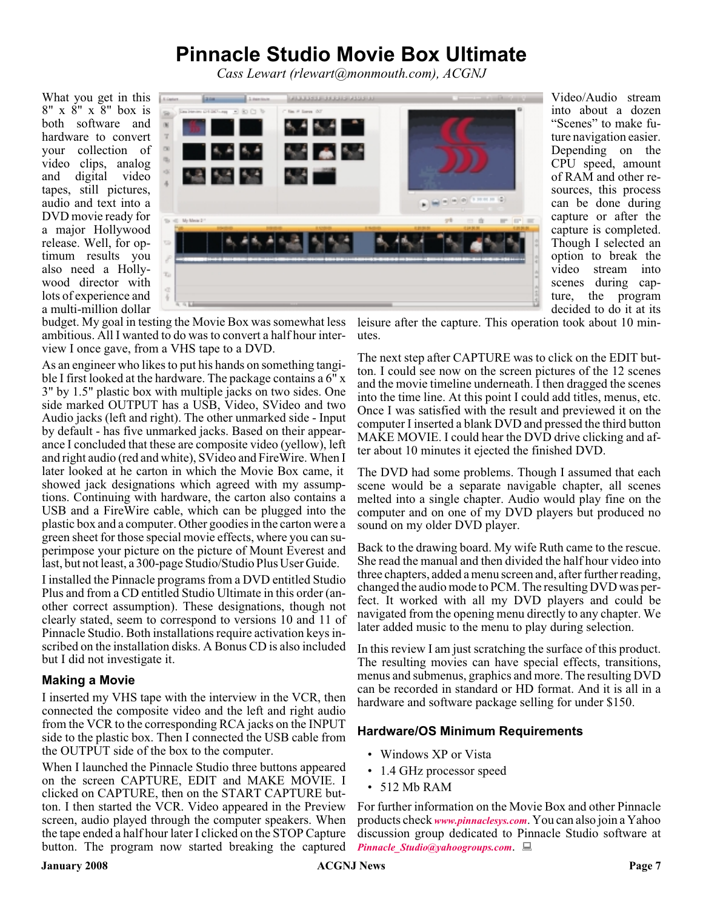### **Pinnacle Studio Movie Box Ultimate**

*Cass Lewart (rlewart@monmouth.com), ACGNJ*

What you get in this 8" x 8" x 8" box is both software and hardware to convert your collection of video clips, analog and digital video tapes, still pictures, audio and text into a DVD movie ready for a major Hollywood release. Well, for optimum results you also need a Hollywood director with lots of experience and a multi-million dollar



Video/Audio stream into about a dozen "Scenes" to make future navigation easier. Depending on the CPU speed, amount of RAM and other resources, this process can be done during capture or after the capture is completed. Though I selected an option to break the video stream into scenes during capture, the program decided to do it at its

budget. My goal in testing the Movie Box was somewhat less ambitious. All I wanted to do was to convert a half hour interview I once gave, from a VHS tape to a DVD.

As an engineer who likes to put his hands on something tangible I first looked at the hardware. The package contains a  $6''$  x 3" by 1.5" plastic box with multiple jacks on two sides. One side marked OUTPUT has a USB, Video, SVideo and two Audio jacks (left and right). The other unmarked side - Input by default - has five unmarked jacks. Based on their appearance I concluded that these are composite video (yellow), left and right audio (red and white), SVideo and FireWire. When I later looked at he carton in which the Movie Box came, it showed jack designations which agreed with my assumptions. Continuing with hardware, the carton also contains a USB and a FireWire cable, which can be plugged into the plastic box and a computer. Other goodies in the carton were a green sheet for those special movie effects, where you can superimpose your picture on the picture of Mount Everest and last, but not least, a 300-page Studio/Studio Plus User Guide.

I installed the Pinnacle programs from a DVD entitled Studio Plus and from a CD entitled Studio Ultimate in this order (another correct assumption). These designations, though not clearly stated, seem to correspond to versions 10 and 11 of Pinnacle Studio. Both installations require activation keys inscribed on the installation disks. A Bonus CD is also included but I did not investigate it.

#### **Making a Movie**

I inserted my VHS tape with the interview in the VCR, then connected the composite video and the left and right audio from the VCR to the corresponding RCA jacks on the INPUT side to the plastic box. Then I connected the USB cable from the OUTPUT side of the box to the computer.

When I launched the Pinnacle Studio three buttons appeared on the screen CAPTURE, EDIT and MAKE MOVIE. I clicked on CAPTURE, then on the START CAPTURE button. I then started the VCR. Video appeared in the Preview screen, audio played through the computer speakers. When the tape ended a half hour later I clicked on the STOP Capture button. The program now started breaking the captured leisure after the capture. This operation took about 10 minutes.

The next step after CAPTURE was to click on the EDIT button. I could see now on the screen pictures of the 12 scenes and the movie timeline underneath. I then dragged the scenes into the time line. At this point I could add titles, menus, etc. Once I was satisfied with the result and previewed it on the computer I inserted a blank DVD and pressed the third button MAKE MOVIE. I could hear the DVD drive clicking and after about 10 minutes it ejected the finished DVD.

The DVD had some problems. Though I assumed that each scene would be a separate navigable chapter, all scenes melted into a single chapter. Audio would play fine on the computer and on one of my DVD players but produced no sound on my older DVD player.

Back to the drawing board. My wife Ruth came to the rescue. She read the manual and then divided the half hour video into three chapters, added a menu screen and, after further reading, changed the audio mode to PCM. The resulting DVD was perfect. It worked with all my DVD players and could be navigated from the opening menu directly to any chapter. We later added music to the menu to play during selection.

In this review I am just scratching the surface of this product. The resulting movies can have special effects, transitions, menus and submenus, graphics and more. The resulting DVD can be recorded in standard or HD format. And it is all in a hardware and software package selling for under \$150.

#### **Hardware/OS Minimum Requirements**

- Windows XP or Vista
- 1.4 GHz processor speed
- 512 Mb RAM

For further information on the Movie Box and other Pinnacle products check *[www.pinnaclesys.com](http://www.pinnaclesys.com)*. You can also join a Yahoo discussion group dedicated to Pinnacle Studio software at *[Pinnacle\\_Studio@yahoogroups.com](mailto:Pinnacle_Studio@yahoogroups.com)*.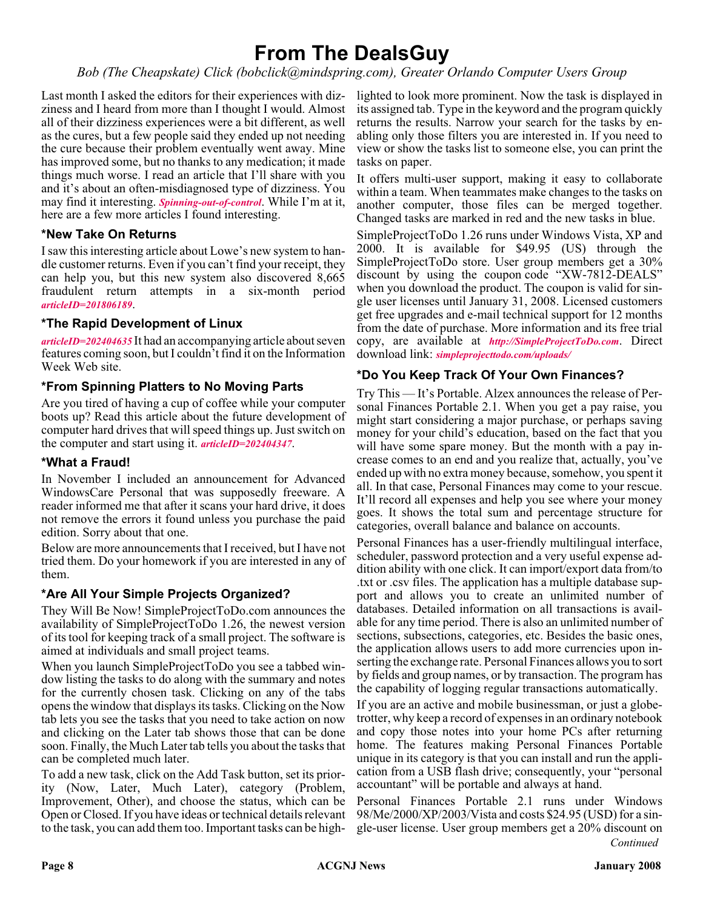### **From The DealsGuy**

*Bob (The Cheapskate) Click (bobclick@mindspring.com), Greater Orlando Computer Users Group*

Last month I asked the editors for their experiences with dizziness and I heard from more than I thought I would. Almost all of their dizziness experiences were a bit different, as well as the cures, but a few people said they ended up not needing the cure because their problem eventually went away. Mine has improved some, but no thanks to any medication; it made things much worse. I read an article that I'll share with you and it's about an often-misdiagnosed type of dizziness. You may find it interesting. *[Spinning-out-of-control](http://www.ericksontribune.com/Home/HealthSecrets/tabid/71/newsid410/5386/Spinning-out-of-control/Default.aspx)*. While I'm at it, here are a few more articles I found interesting.

#### **\*New Take On Returns**

I saw this interesting article about Lowe's new system to handle customer returns. Even if you can't find your receipt, they can help you, but this new system also discovered 8,665 fraudulent return attempts in a six-month period *[articleID=201806189](http://www.informationweek.com/showArticle.jhtml)*.

#### **\*The Rapid Development of Linux**

*[articleID=202404635](http://www.informationweek.com/news/showArticle.jhtml?articleID=202404635)* It had an accompanying article about seven features coming soon, but I couldn't find it on the Information Week Web site.

#### **\*From Spinning Platters to No Moving Parts**

Are you tired of having a cup of coffee while your computer boots up? Read this article about the future development of computer hard drives that will speed things up. Just switch on the computer and start using it. *[articleID=202404347](http://www.informationweek.com/showArticle.jhtml?articleID=202404347)*.

#### **\*What a Fraud!**

In November I included an announcement for Advanced WindowsCare Personal that was supposedly freeware. A reader informed me that after it scans your hard drive, it does not remove the errors it found unless you purchase the paid edition. Sorry about that one.

Below are more announcements that I received, but I have not tried them. Do your homework if you are interested in any of them.

#### **\*Are All Your Simple Projects Organized?**

They Will Be Now! SimpleProjectToDo.com announces the availability of SimpleProjectToDo 1.26, the newest version of its tool for keeping track of a small project. The software is aimed at individuals and small project teams.

When you launch SimpleProjectToDo you see a tabbed window listing the tasks to do along with the summary and notes for the currently chosen task. Clicking on any of the tabs opens the window that displays its tasks. Clicking on the Now tab lets you see the tasks that you need to take action on now and clicking on the Later tab shows those that can be done soon. Finally, the Much Later tab tells you about the tasks that can be completed much later.

To add a new task, click on the Add Task button, set its priority (Now, Later, Much Later), category (Problem, Improvement, Other), and choose the status, which can be Open or Closed. If you have ideas or technical details relevant to the task, you can add them too. Important tasks can be high-

lighted to look more prominent. Now the task is displayed in its assigned tab. Type in the keyword and the program quickly returns the results. Narrow your search for the tasks by enabling only those filters you are interested in. If you need to view or show the tasks list to someone else, you can print the tasks on paper.

It offers multi-user support, making it easy to collaborate within a team. When teammates make changes to the tasks on another computer, those files can be merged together. Changed tasks are marked in red and the new tasks in blue.

SimpleProjectToDo 1.26 runs under Windows Vista, XP and 2000. It is available for \$49.95 (US) through the SimpleProjectToDo store. User group members get a 30% discount by using the coupon code "XW-7812-DEALS" when you download the product. The coupon is valid for single user licenses until January 31, 2008. Licensed customers get free upgrades and e-mail technical support for 12 months from the date of purchase. More information and its free trial copy, are available at *<http://SimpleProjectToDo.com>*. Direct download link: *[simpleprojecttodo.com/uploads/](http://simpleprojecttodo.com/uploads/file/SimpleProjectSetup.exe)*

#### **\*Do You Keep Track Of Your Own Finances?**

Try This — It's Portable. Alzex announces the release of Personal Finances Portable 2.1. When you get a pay raise, you might start considering a major purchase, or perhaps saving money for your child's education, based on the fact that you will have some spare money. But the month with a pay increase comes to an end and you realize that, actually, you've ended up with no extra money because, somehow, you spent it all. In that case, Personal Finances may come to your rescue. It'll record all expenses and help you see where your money goes. It shows the total sum and percentage structure for categories, overall balance and balance on accounts.

Personal Finances has a user-friendly multilingual interface, scheduler, password protection and a very useful expense addition ability with one click. It can import/export data from/to .txt or .csv files. The application has a multiple database support and allows you to create an unlimited number of databases. Detailed information on all transactions is available for any time period. There is also an unlimited number of sections, subsections, categories, etc. Besides the basic ones, the application allows users to add more currencies upon inserting the exchange rate. Personal Finances allows you to sort by fields and group names, or by transaction. The program has the capability of logging regular transactions automatically.

If you are an active and mobile businessman, or just a globetrotter, why keep a record of expenses in an ordinary notebook and copy those notes into your home PCs after returning home. The features making Personal Finances Portable unique in its category is that you can install and run the application from a USB flash drive; consequently, your "personal accountant" will be portable and always at hand.

Personal Finances Portable 2.1 runs under Windows 98/Me/2000/XP/2003/Vista and costs \$24.95 (USD) for a single-user license. User group members get a 20% discount on *Continued*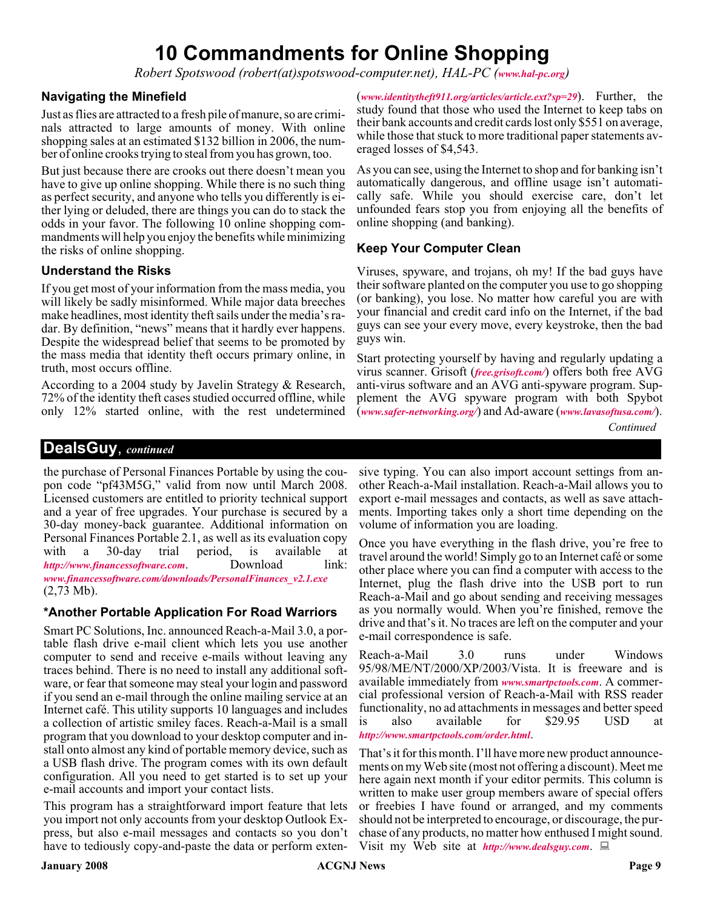### **10 Commandments for Online Shopping**

*Robert Spotswood (robert(at)spotswood-computer.net), HAL-PC ([www.hal-pc.org](http://www.hal-pc.org))*

#### **Navigating the Minefield**

Just as flies are attracted to a fresh pile of manure, so are criminals attracted to large amounts of money. With online shopping sales at an estimated \$132 billion in 2006, the number of online crooks trying to steal from you has grown, too.

But just because there are crooks out there doesn't mean you have to give up online shopping. While there is no such thing as perfect security, and anyone who tells you differently is either lying or deluded, there are things you can do to stack the odds in your favor. The following 10 online shopping commandments will help you enjoy the benefits while minimizing the risks of online shopping.

#### **Understand the Risks**

If you get most of your information from the mass media, you will likely be sadly misinformed. While major data breeches make headlines, most identity theft sails under the media's radar. By definition, "news" means that it hardly ever happens. Despite the widespread belief that seems to be promoted by the mass media that identity theft occurs primary online, in truth, most occurs offline.

According to a 2004 study by Javelin Strategy & Research, 72% of the identity theft cases studied occurred offline, while only 12% started online, with the rest undetermined

(*[www.identitytheft911.org/articles/article.ext?sp=29](http://www.identitytheft911.org/articles/article.ext?sp=29)*). Further, the study found that those who used the Internet to keep tabs on their bank accounts and credit cards lost only \$551 on average, while those that stuck to more traditional paper statements averaged losses of \$4,543.

As you can see, using the Internet to shop and for banking isn't automatically dangerous, and offline usage isn't automatically safe. While you should exercise care, don't let unfounded fears stop you from enjoying all the benefits of online shopping (and banking).

#### **Keep Your Computer Clean**

Viruses, spyware, and trojans, oh my! If the bad guys have their software planted on the computer you use to go shopping (or banking), you lose. No matter how careful you are with your financial and credit card info on the Internet, if the bad guys can see your every move, every keystroke, then the bad guys win.

Start protecting yourself by having and regularly updating a virus scanner. Grisoft (*[free.grisoft.com/](http://)*) offers both free AVG anti-virus software and an AVG anti-spyware program. Supplement the AVG spyware program with both Spybot (*[www.safer-networking.org/](http://www.safer-networking.org/)*) and Ad-aware (*[www.lavasoftusa.com/](http://www.lavasoftusa.com/)*).

*Continued*

#### **DealsGuy**, *continued*

the purchase of Personal Finances Portable by using the coupon code "pf43M5G," valid from now until March 2008. Licensed customers are entitled to priority technical support and a year of free upgrades. Your purchase is secured by a 30-day money-back guarantee. Additional information on Personal Finances Portable 2.1, as well as its evaluation copy with a 30-day trial period, is available at *http://www.financessoftware.com*. Download link: *<http://www.financessoftware.com>.* Download *[www.financessoftware.com/downloads/PersonalFinances\\_v2.1.exe](http://www.financessoftware.com/downloads/PersonalFinances_v2.1.exe)* (2,73 Mb).

#### **\*Another Portable Application For Road Warriors**

Smart PC Solutions, Inc. announced Reach-a-Mail 3.0, a portable flash drive e-mail client which lets you use another computer to send and receive e-mails without leaving any traces behind. There is no need to install any additional software, or fear that someone may steal your login and password if you send an e-mail through the online mailing service at an Internet café. This utility supports 10 languages and includes a collection of artistic smiley faces. Reach-a-Mail is a small program that you download to your desktop computer and install onto almost any kind of portable memory device, such as a USB flash drive. The program comes with its own default configuration. All you need to get started is to set up your e-mail accounts and import your contact lists.

This program has a straightforward import feature that lets you import not only accounts from your desktop Outlook Express, but also e-mail messages and contacts so you don't have to tediously copy-and-paste the data or perform extensive typing. You can also import account settings from another Reach-a-Mail installation. Reach-a-Mail allows you to export e-mail messages and contacts, as well as save attachments. Importing takes only a short time depending on the volume of information you are loading.

Once you have everything in the flash drive, you're free to travel around the world! Simply go to an Internet café or some other place where you can find a computer with access to the Internet, plug the flash drive into the USB port to run Reach-a-Mail and go about sending and receiving messages as you normally would. When you're finished, remove the drive and that's it. No traces are left on the computer and your e-mail correspondence is safe.

Reach-a-Mail 3.0 runs under Windows 95/98/ME/NT/2000/XP/2003/Vista. It is freeware and is available immediately from *[www.smartpctools.com](http://www.smartpctools.com)*. A commercial professional version of Reach-a-Mail with RSS reader functionality, no ad attachments in messages and better speed is also available for \$29.95 USD at *<http://www.smartpctools.com/order.html>*.

That's it for this month. I'll have more new product announcements on my Web site (most not offering a discount). Meet me here again next month if your editor permits. This column is written to make user group members aware of special offers or freebies I have found or arranged, and my comments should not be interpreted to encourage, or discourage, the purchase of any products, no matter how enthused I might sound. Visit my Web site at *<http://www.dealsguy.com>*.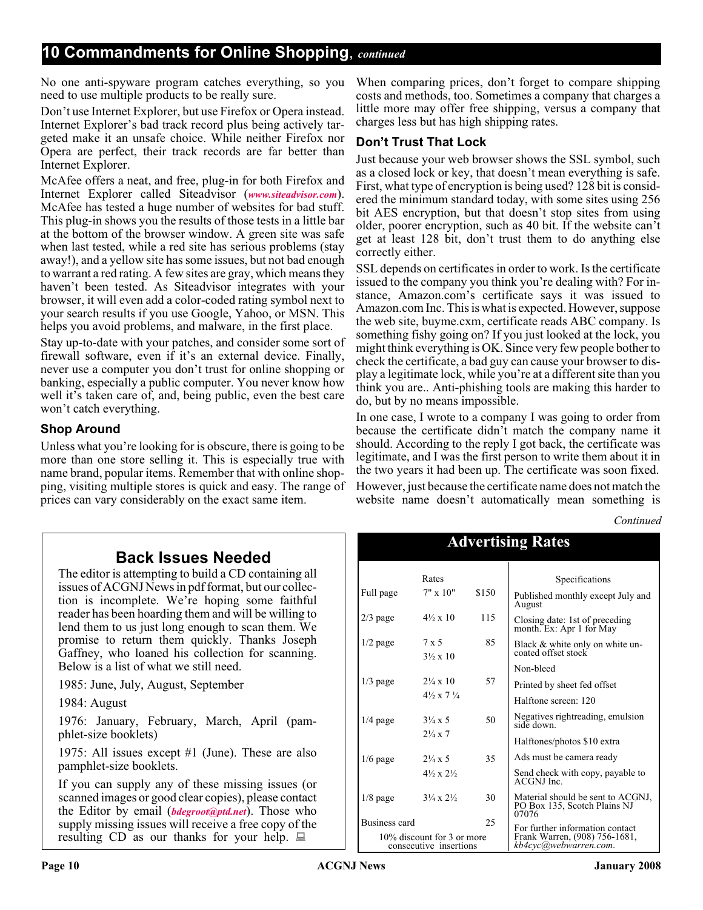No one anti-spyware program catches everything, so you need to use multiple products to be really sure.

Don't use Internet Explorer, but use Firefox or Opera instead. Internet Explorer's bad track record plus being actively targeted make it an unsafe choice. While neither Firefox nor Opera are perfect, their track records are far better than Internet Explorer.

McAfee offers a neat, and free, plug-in for both Firefox and Internet Explorer called Siteadvisor (*[www.siteadvisor.com](http://www.siteadvisor.com)*). McAfee has tested a huge number of websites for bad stuff. This plug-in shows you the results of those tests in a little bar at the bottom of the browser window. A green site was safe when last tested, while a red site has serious problems (stay away!), and a yellow site has some issues, but not bad enough to warrant a red rating. A few sites are gray, which means they haven't been tested. As Siteadvisor integrates with your browser, it will even add a color-coded rating symbol next to your search results if you use Google, Yahoo, or MSN. This helps you avoid problems, and malware, in the first place.

Stay up-to-date with your patches, and consider some sort of firewall software, even if it's an external device. Finally, never use a computer you don't trust for online shopping or banking, especially a public computer. You never know how well it's taken care of, and, being public, even the best care won't catch everything.

#### **Shop Around**

Unless what you're looking for is obscure, there is going to be more than one store selling it. This is especially true with name brand, popular items. Remember that with online shopping, visiting multiple stores is quick and easy. The range of prices can vary considerably on the exact same item.

When comparing prices, don't forget to compare shipping costs and methods, too. Sometimes a company that charges a little more may offer free shipping, versus a company that charges less but has high shipping rates.

#### **Don't Trust That Lock**

Just because your web browser shows the SSL symbol, such as a closed lock or key, that doesn't mean everything is safe. First, what type of encryption is being used? 128 bit is considered the minimum standard today, with some sites using 256 bit AES encryption, but that doesn't stop sites from using older, poorer encryption, such as 40 bit. If the website can't get at least 128 bit, don't trust them to do anything else correctly either.

SSL depends on certificates in order to work. Is the certificate issued to the company you think you're dealing with? For instance, Amazon.com's certificate says it was issued to Amazon.com Inc. This is what is expected. However, suppose the web site, buyme.cxm, certificate reads ABC company. Is something fishy going on? If you just looked at the lock, you might think everything is OK. Since very few people bother to check the certificate, a bad guy can cause your browser to display a legitimate lock, while you're at a different site than you think you are.. Anti-phishing tools are making this harder to do, but by no means impossible.

In one case, I wrote to a company I was going to order from because the certificate didn't match the company name it should. According to the reply I got back, the certificate was legitimate, and I was the first person to write them about it in the two years it had been up. The certificate was soon fixed. However, just because the certificate name does not match the

website name doesn't automatically mean something is

Advertising Rates

*Continued*

### **Back Issues Needed**

The editor is attempting to build a CD containing all issues of ACGNJ News in pdf format, but our collection is incomplete. We're hoping some faithful reader has been hoarding them and will be willing to lend them to us just long enough to scan them. We promise to return them quickly. Thanks Joseph Gaffney, who loaned his collection for scanning. Below is a list of what we still need.

1985: June, July, August, September

1984: August

1976: January, February, March, April (pamphlet-size booklets)

1975: All issues except #1 (June). These are also pamphlet-size booklets.

If you can supply any of these missing issues (or scanned images or good clear copies), please contact the Editor by email (*[bdegroot@ptd.net](mailto:bdegroot@ptd.net)*). Those who supply missing issues will receive a free copy of the resulting CD as our thanks for your help.  $\Box$ 

| THE VEHICLE RAILS                                    |                                    |       |                                                                            |  |
|------------------------------------------------------|------------------------------------|-------|----------------------------------------------------------------------------|--|
|                                                      | Rates                              |       | Specifications                                                             |  |
| Full page                                            | $7" \times 10"$                    | \$150 | Published monthly except July and<br>August                                |  |
| $2/3$ page                                           | $4\frac{1}{2} \times 10$           | 115   | Closing date: 1st of preceding<br>month. Ex: Apr 1 for May                 |  |
| $1/2$ page                                           | 7 x 5<br>$3\frac{1}{2} \times 10$  | 85    | Black & white only on white un-<br>coated offset stock                     |  |
|                                                      |                                    |       | Non-bleed                                                                  |  |
| $1/3$ page                                           | $2\frac{1}{4} \times 10$           | 57    | Printed by sheet fed offset                                                |  |
|                                                      | $4\frac{1}{2}x$ 7 $\frac{1}{4}$    |       | Halftone screen: 120                                                       |  |
| $1/4$ page                                           | $3\frac{1}{4} \times 5$            | 50    | Negatives rightreading, emulsion<br>side down.                             |  |
|                                                      | $2\frac{1}{4} \times 7$            |       | Halftones/photos \$10 extra                                                |  |
| $1/6$ page                                           | $2\frac{1}{4} \times 5$            | 35    | Ads must be camera ready                                                   |  |
|                                                      | $4\frac{1}{2} \times 2\frac{1}{2}$ |       | Send check with copy, payable to<br>ACGNJ Inc.                             |  |
| $1/8$ page                                           | $3\frac{1}{4} \times 2\frac{1}{2}$ | 30    | Material should be sent to ACGNJ,<br>PO Box 135, Scotch Plains NJ<br>07076 |  |
|                                                      | <b>Business card</b><br>25         |       | For further information contact                                            |  |
| 10% discount for 3 or more<br>consecutive insertions |                                    |       | Frank Warren, (908) 756-1681,<br>kb4cyc@webwàrreń.com.                     |  |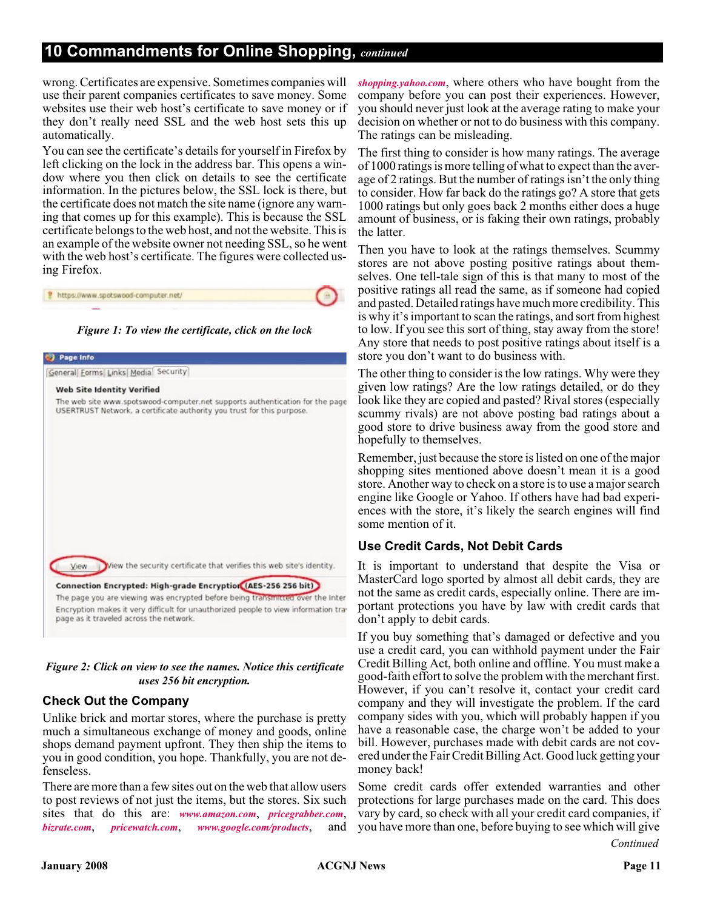#### **10 Commandments for Online Shopping,** *continued*

wrong. Certificates are expensive. Sometimes companies will use their parent companies certificates to save money. Some websites use their web host's certificate to save money or if they don't really need SSL and the web host sets this up automatically.

You can see the certificate's details for yourself in Firefox by left clicking on the lock in the address bar. This opens a window where you then click on details to see the certificate information. In the pictures below, the SSL lock is there, but the certificate does not match the site name (ignore any warning that comes up for this example). This is because the SSL certificate belongs to the web host, and not the website. This is an example of the website owner not needing SSL, so he went with the web host's certificate. The figures were collected using Firefox.

| * https://www.spotswood-computer.net/ |  |
|---------------------------------------|--|
|                                       |  |





#### *Figure 2: Click on view to see the names. Notice this certificate uses 256 bit encryption.*

#### **Check Out the Company**

Unlike brick and mortar stores, where the purchase is pretty much a simultaneous exchange of money and goods, online shops demand payment upfront. They then ship the items to you in good condition, you hope. Thankfully, you are not defenseless.

There are more than a few sites out on the web that allow users to post reviews of not just the items, but the stores. Six such sites that do this are: *[www.amazon.com](http://www.amazon.com)*, *[pricegrabber.com](http://pricegrabber.com)*, *[bizrate.com](http://bizrate.com)*, *[pricewatch.com](http://pricewatch.com)*, *[www.google.com/products](http://www.google.com/products)*, and

*[shopping.yahoo.com](http://shopping.yahoo.com)*, where others who have bought from the company before you can post their experiences. However, you should never just look at the average rating to make your decision on whether or not to do business with this company. The ratings can be misleading.

The first thing to consider is how many ratings. The average of 1000 ratings is more telling of what to expect than the average of 2 ratings. But the number of ratings isn't the only thing to consider. How far back do the ratings go? A store that gets 1000 ratings but only goes back 2 months either does a huge amount of business, or is faking their own ratings, probably the latter.

Then you have to look at the ratings themselves. Scummy stores are not above posting positive ratings about themselves. One tell-tale sign of this is that many to most of the positive ratings all read the same, as if someone had copied and pasted. Detailed ratings have much more credibility. This is why it's important to scan the ratings, and sort from highest to low. If you see this sort of thing, stay away from the store! Any store that needs to post positive ratings about itself is a store you don't want to do business with.

The other thing to consider is the low ratings. Why were they given low ratings? Are the low ratings detailed, or do they look like they are copied and pasted? Rival stores (especially scummy rivals) are not above posting bad ratings about a good store to drive business away from the good store and hopefully to themselves.

Remember, just because the store is listed on one of the major shopping sites mentioned above doesn't mean it is a good store. Another way to check on a store is to use a major search engine like Google or Yahoo. If others have had bad experiences with the store, it's likely the search engines will find some mention of it.

#### **Use Credit Cards, Not Debit Cards**

It is important to understand that despite the Visa or MasterCard logo sported by almost all debit cards, they are not the same as credit cards, especially online. There are important protections you have by law with credit cards that don't apply to debit cards.

If you buy something that's damaged or defective and you use a credit card, you can withhold payment under the Fair Credit Billing Act, both online and offline. You must make a good-faith effort to solve the problem with the merchant first. However, if you can't resolve it, contact your credit card company and they will investigate the problem. If the card company sides with you, which will probably happen if you have a reasonable case, the charge won't be added to your bill. However, purchases made with debit cards are not covered under the Fair Credit Billing Act. Good luck getting your money back!

Some credit cards offer extended warranties and other protections for large purchases made on the card. This does vary by card, so check with all your credit card companies, if you have more than one, before buying to see which will give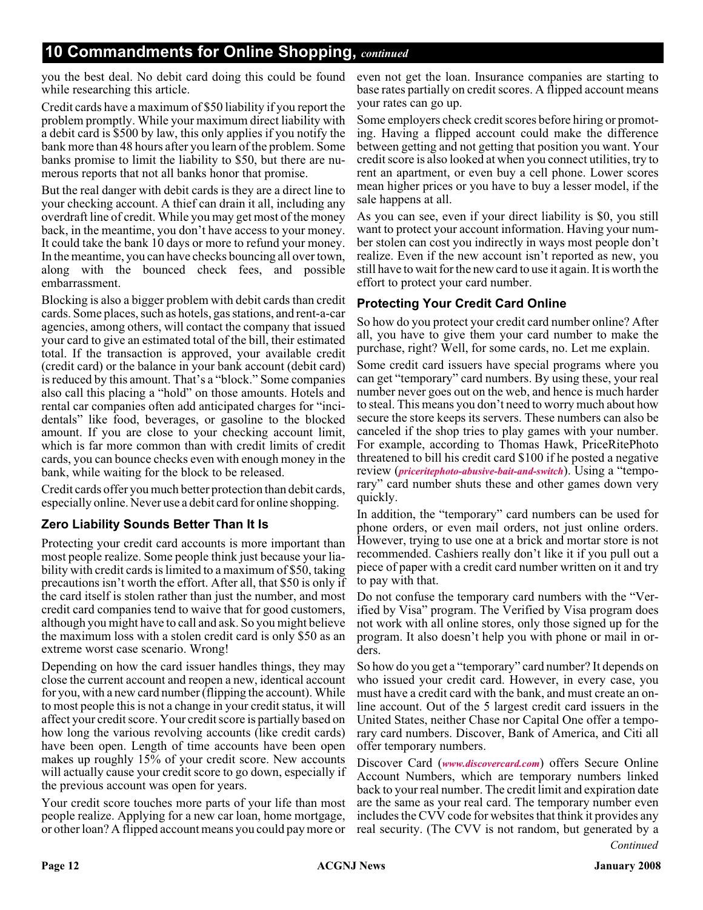### **10 Commandments for Online Shopping,** *continued*

you the best deal. No debit card doing this could be found even not get the loan. Insurance companies are starting to while researching this article.

Credit cards have a maximum of \$50 liability if you report the problem promptly. While your maximum direct liability with a debit card is \$500 by law, this only applies if you notify the bank more than 48 hours after you learn of the problem. Some banks promise to limit the liability to \$50, but there are numerous reports that not all banks honor that promise.

But the real danger with debit cards is they are a direct line to your checking account. A thief can drain it all, including any overdraft line of credit. While you may get most of the money back, in the meantime, you don't have access to your money. It could take the bank 10 days or more to refund your money. In the meantime, you can have checks bouncing all over town, along with the bounced check fees, and possible embarrassment.

Blocking is also a bigger problem with debit cards than credit cards. Some places, such as hotels, gas stations, and rent-a-car agencies, among others, will contact the company that issued your card to give an estimated total of the bill, their estimated total. If the transaction is approved, your available credit (credit card) or the balance in your bank account (debit card) is reduced by this amount. That's a "block." Some companies also call this placing a "hold" on those amounts. Hotels and rental car companies often add anticipated charges for "incidentals" like food, beverages, or gasoline to the blocked amount. If you are close to your checking account limit, which is far more common than with credit limits of credit cards, you can bounce checks even with enough money in the bank, while waiting for the block to be released.

Credit cards offer you much better protection than debit cards, especially online. Never use a debit card for online shopping.

#### **Zero Liability Sounds Better Than It Is**

Protecting your credit card accounts is more important than most people realize. Some people think just because your liability with credit cards is limited to a maximum of \$50, taking precautions isn't worth the effort. After all, that \$50 is only if the card itself is stolen rather than just the number, and most credit card companies tend to waive that for good customers, although you might have to call and ask. So you might believe the maximum loss with a stolen credit card is only \$50 as an extreme worst case scenario. Wrong!

Depending on how the card issuer handles things, they may close the current account and reopen a new, identical account for you, with a new card number (flipping the account). While to most people this is not a change in your credit status, it will affect your credit score. Your credit score is partially based on how long the various revolving accounts (like credit cards) have been open. Length of time accounts have been open makes up roughly 15% of your credit score. New accounts will actually cause your credit score to go down, especially if the previous account was open for years.

Your credit score touches more parts of your life than most people realize. Applying for a new car loan, home mortgage, or other loan? A flipped account means you could pay more or base rates partially on credit scores. A flipped account means your rates can go up.

Some employers check credit scores before hiring or promoting. Having a flipped account could make the difference between getting and not getting that position you want. Your credit score is also looked at when you connect utilities, try to rent an apartment, or even buy a cell phone. Lower scores mean higher prices or you have to buy a lesser model, if the sale happens at all.

As you can see, even if your direct liability is \$0, you still want to protect your account information. Having your number stolen can cost you indirectly in ways most people don't realize. Even if the new account isn't reported as new, you still have to wait for the new card to use it again. It is worth the effort to protect your card number.

#### **Protecting Your Credit Card Online**

So how do you protect your credit card number online? After all, you have to give them your card number to make the purchase, right? Well, for some cards, no. Let me explain.

Some credit card issuers have special programs where you can get "temporary" card numbers. By using these, your real number never goes out on the web, and hence is much harder to steal. This means you don't need to worry much about how secure the store keeps its servers. These numbers can also be canceled if the shop tries to play games with your number. For example, according to Thomas Hawk, PriceRitePhoto threatened to bill his credit card \$100 if he posted a negative review (*[priceritephoto-abusive-bait-and-switch](http://thomashawk.com/2005/11/priceritephoto-abusive-bait-and-switch.html)*). Using a "temporary" card number shuts these and other games down very quickly.

In addition, the "temporary" card numbers can be used for phone orders, or even mail orders, not just online orders. However, trying to use one at a brick and mortar store is not recommended. Cashiers really don't like it if you pull out a piece of paper with a credit card number written on it and try to pay with that.

Do not confuse the temporary card numbers with the "Verified by Visa" program. The Verified by Visa program does not work with all online stores, only those signed up for the program. It also doesn't help you with phone or mail in orders.

So how do you get a "temporary" card number? It depends on who issued your credit card. However, in every case, you must have a credit card with the bank, and must create an online account. Out of the 5 largest credit card issuers in the United States, neither Chase nor Capital One offer a temporary card numbers. Discover, Bank of America, and Citi all offer temporary numbers.

Discover Card (*[www.discovercard.com](http://www.discovercard.com)*) offers Secure Online Account Numbers, which are temporary numbers linked back to your real number. The credit limit and expiration date are the same as your real card. The temporary number even includes the CVV code for websites that think it provides any real security. (The CVV is not random, but generated by a *Continued*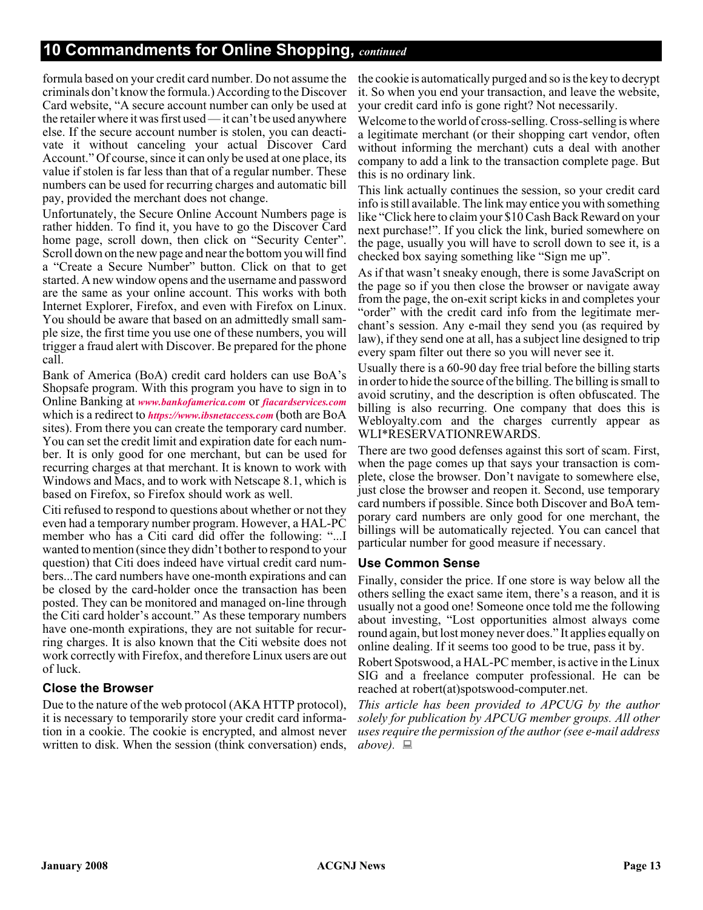#### **10 Commandments for Online Shopping,** *continued*

formula based on your credit card number. Do not assume the criminals don't know the formula.) According to the Discover Card website, "A secure account number can only be used at the retailer where it was first used — it can't be used anywhere else. If the secure account number is stolen, you can deactivate it without canceling your actual Discover Card Account." Of course, since it can only be used at one place, its value if stolen is far less than that of a regular number. These numbers can be used for recurring charges and automatic bill pay, provided the merchant does not change.

Unfortunately, the Secure Online Account Numbers page is rather hidden. To find it, you have to go the Discover Card home page, scroll down, then click on "Security Center". Scroll down on the new page and near the bottom you will find a "Create a Secure Number" button. Click on that to get started. A new window opens and the username and password are the same as your online account. This works with both Internet Explorer, Firefox, and even with Firefox on Linux. You should be aware that based on an admittedly small sample size, the first time you use one of these numbers, you will trigger a fraud alert with Discover. Be prepared for the phone call.

Bank of America (BoA) credit card holders can use BoA's Shopsafe program. With this program you have to sign in to Online Banking at *[www.bankofamerica.com](http://www.bankofamerica.com)* or *[fiacardservices.com](http://)* which is a redirect to *[https://www.ibsnetaccess.com](http://)* (both are BoA sites). From there you can create the temporary card number. You can set the credit limit and expiration date for each number. It is only good for one merchant, but can be used for recurring charges at that merchant. It is known to work with Windows and Macs, and to work with Netscape 8.1, which is based on Firefox, so Firefox should work as well.

Citi refused to respond to questions about whether or not they even had a temporary number program. However, a HAL-PC member who has a Citi card did offer the following: "...I wanted to mention (since they didn't bother to respond to your question) that Citi does indeed have virtual credit card numbers...The card numbers have one-month expirations and can be closed by the card-holder once the transaction has been posted. They can be monitored and managed on-line through the Citi card holder's account." As these temporary numbers have one-month expirations, they are not suitable for recurring charges. It is also known that the Citi website does not work correctly with Firefox, and therefore Linux users are out of luck.

#### **Close the Browser**

Due to the nature of the web protocol (AKA HTTP protocol), it is necessary to temporarily store your credit card information in a cookie. The cookie is encrypted, and almost never written to disk. When the session (think conversation) ends,

the cookie is automatically purged and so is the key to decrypt it. So when you end your transaction, and leave the website, your credit card info is gone right? Not necessarily.

Welcome to the world of cross-selling. Cross-selling is where a legitimate merchant (or their shopping cart vendor, often without informing the merchant) cuts a deal with another company to add a link to the transaction complete page. But this is no ordinary link.

This link actually continues the session, so your credit card info is still available. The link may entice you with something like "Click here to claim your \$10 Cash Back Reward on your next purchase!". If you click the link, buried somewhere on the page, usually you will have to scroll down to see it, is a checked box saying something like "Sign me up".

As if that wasn't sneaky enough, there is some JavaScript on the page so if you then close the browser or navigate away from the page, the on-exit script kicks in and completes your "order" with the credit card info from the legitimate merchant's session. Any e-mail they send you (as required by law), if they send one at all, has a subject line designed to trip every spam filter out there so you will never see it.

Usually there is a 60-90 day free trial before the billing starts in order to hide the source of the billing. The billing is small to avoid scrutiny, and the description is often obfuscated. The billing is also recurring. One company that does this is Webloyalty.com and the charges currently appear as WLI\*RESERVATIONREWARDS.

There are two good defenses against this sort of scam. First, when the page comes up that says your transaction is complete, close the browser. Don't navigate to somewhere else, just close the browser and reopen it. Second, use temporary card numbers if possible. Since both Discover and BoA temporary card numbers are only good for one merchant, the billings will be automatically rejected. You can cancel that particular number for good measure if necessary.

#### **Use Common Sense**

Finally, consider the price. If one store is way below all the others selling the exact same item, there's a reason, and it is usually not a good one! Someone once told me the following about investing, "Lost opportunities almost always come round again, but lost money never does." It applies equally on online dealing. If it seems too good to be true, pass it by.

Robert Spotswood, a HAL-PC member, is active in the Linux SIG and a freelance computer professional. He can be reached at robert(at)spotswood-computer.net.

*This article has been provided to APCUG by the author solely for publication by APCUG member groups. All other uses require the permission of the author (see e-mail address above).*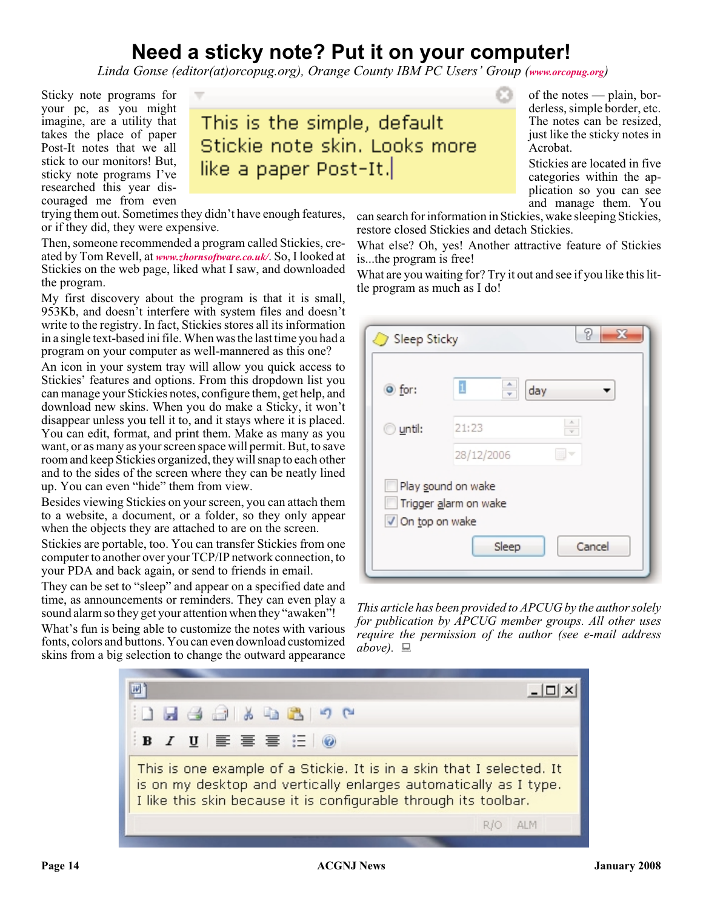### **Need a sticky note? Put it on your computer!**

*Linda Gonse (editor(at)orcopug.org), Orange County IBM PC Users' Group ([www.orcopug.org](http://www.orcopug.org))*

Sticky note programs for your pc, as you might imagine, are a utility that takes the place of paper Post-It notes that we all stick to our monitors! But, sticky note programs I've researched this year discouraged me from even

This is the simple, default Stickie note skin, Looks more like a paper Post-It.

trying them out. Sometimes they didn't have enough features, or if they did, they were expensive.

Then, someone recommended a program called Stickies, created by Tom Revell, at *[www.zhornsoftware.co.uk/](http://www.zhornsoftware.co.uk/)*. So, I looked at Stickies on the web page, liked what I saw, and downloaded the program.

My first discovery about the program is that it is small, 953Kb, and doesn't interfere with system files and doesn't write to the registry. In fact, Stickies stores all its information in a single text-based ini file. When was the last time you had a program on your computer as well-mannered as this one?

An icon in your system tray will allow you quick access to Stickies' features and options. From this dropdown list you can manage your Stickies notes, configure them, get help, and download new skins. When you do make a Sticky, it won't disappear unless you tell it to, and it stays where it is placed. You can edit, format, and print them. Make as many as you want, or as many as your screen space will permit. But, to save room and keep Stickies organized, they will snap to each other and to the sides of the screen where they can be neatly lined up. You can even "hide" them from view.

Besides viewing Stickies on your screen, you can attach them to a website, a document, or a folder, so they only appear when the objects they are attached to are on the screen.

Stickies are portable, too. You can transfer Stickies from one computer to another over your TCP/IP network connection, to your PDA and back again, or send to friends in email.

They can be set to "sleep" and appear on a specified date and time, as announcements or reminders. They can even play a sound alarm so they get your attention when they "awaken"!

What's fun is being able to customize the notes with various fonts, colors and buttons. You can even download customized skins from a big selection to change the outward appearance

of the notes — plain, borderless, simple border, etc. The notes can be resized, just like the sticky notes in Acrobat.

Stickies are located in five categories within the application so you can see and manage them. You

can search for information in Stickies, wake sleeping Stickies, restore closed Stickies and detach Stickies.

What else? Oh, yes! Another attractive feature of Stickies is...the program is free!

What are you waiting for? Try it out and see if you like this little program as much as I do!

| 9<br>53<br>Sleep Sticky                                         |                          |  |  |  |
|-----------------------------------------------------------------|--------------------------|--|--|--|
| O for:                                                          | ÷<br>$\mathbf{1}$<br>day |  |  |  |
| until:<br>00                                                    | A.<br>21:23              |  |  |  |
|                                                                 | 28/12/2006<br>٠          |  |  |  |
| Play sound on wake<br>Trigger alarm on wake<br>√ On top on wake |                          |  |  |  |
|                                                                 | Sleep<br>Cancel          |  |  |  |

*This article has been provided to APCUG by the author solely for publication by APCUG member groups. All other uses require the permission of the author (see e-mail address above).*

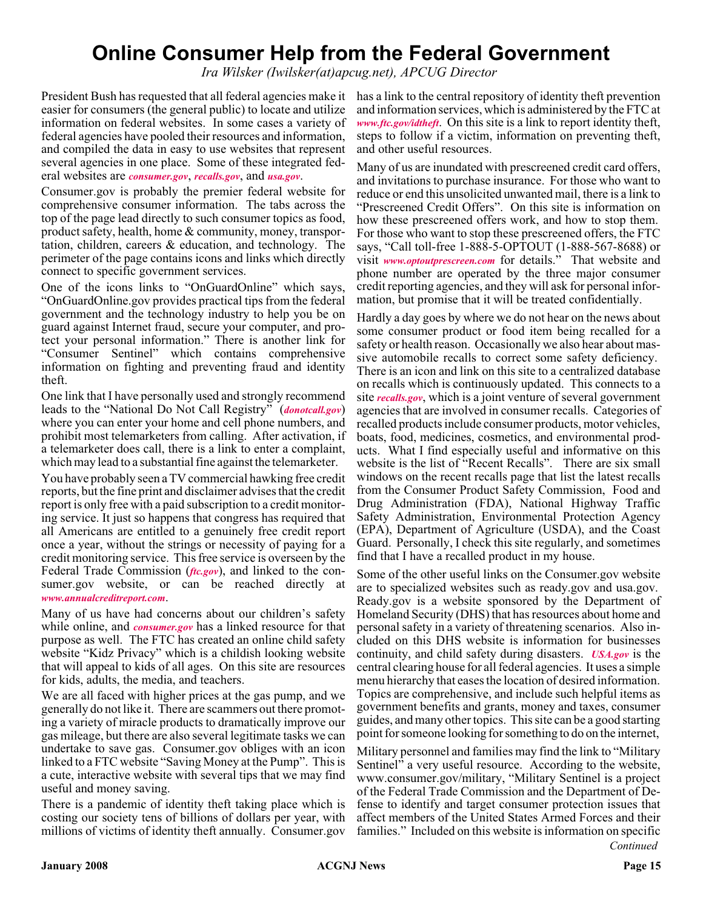### **Online Consumer Help from the Federal Government**

*Ira Wilsker (Iwilsker(at)apcug.net), APCUG Director*

President Bush has requested that all federal agencies make it has a link to the central repository of identity theft prevention easier for consumers (the general public) to locate and utilize information on federal websites. In some cases a variety of federal agencies have pooled their resources and information, and compiled the data in easy to use websites that represent several agencies in one place. Some of these integrated federal websites are *[consumer.gov](http://consumer.gov)*, *[recalls.gov](http://recalls.gov)*, and *[usa.gov](http://usa.gov)*.

Consumer.gov is probably the premier federal website for comprehensive consumer information. The tabs across the top of the page lead directly to such consumer topics as food, product safety, health, home & community, money, transportation, children, careers & education, and technology. The perimeter of the page contains icons and links which directly connect to specific government services.

One of the icons links to "OnGuardOnline" which says, "OnGuardOnline.gov provides practical tips from the federal government and the technology industry to help you be on guard against Internet fraud, secure your computer, and protect your personal information." There is another link for "Consumer Sentinel" which contains comprehensive information on fighting and preventing fraud and identity theft.

One link that I have personally used and strongly recommend leads to the "National Do Not Call Registry" (*[donotcall.gov](http://donotcall.gov)*) where you can enter your home and cell phone numbers, and prohibit most telemarketers from calling. After activation, if a telemarketer does call, there is a link to enter a complaint, which may lead to a substantial fine against the telemarketer.

You have probably seen a TV commercial hawking free credit reports, but the fine print and disclaimer advises that the credit report is only free with a paid subscription to a credit monitoring service. It just so happens that congress has required that all Americans are entitled to a genuinely free credit report once a year, without the strings or necessity of paying for a credit monitoring service. This free service is overseen by the Federal Trade Commission (*[ftc.gov](http://ftc.gov)*), and linked to the consumer.gov website, or can be reached directly *[www.annualcreditreport.com](http://www.annualcreditreport.com)*.

Many of us have had concerns about our children's safety while online, and *[consumer.gov](http://consumer.gov)* has a linked resource for that purpose as well. The FTC has created an online child safety website "Kidz Privacy" which is a childish looking website that will appeal to kids of all ages. On this site are resources for kids, adults, the media, and teachers.

We are all faced with higher prices at the gas pump, and we generally do not like it. There are scammers out there promoting a variety of miracle products to dramatically improve our gas mileage, but there are also several legitimate tasks we can undertake to save gas. Consumer.gov obliges with an icon linked to a FTC website "Saving Money at the Pump". This is a cute, interactive website with several tips that we may find useful and money saving.

There is a pandemic of identity theft taking place which is costing our society tens of billions of dollars per year, with millions of victims of identity theft annually. Consumer.gov

and information services, which is administered by the FTC at *[www.ftc.gov/idtheft](http://www.ftc.gov/idtheft)*. On this site is a link to report identity theft, steps to follow if a victim, information on preventing theft, and other useful resources.

Many of us are inundated with prescreened credit card offers, and invitations to purchase insurance. For those who want to reduce or end this unsolicited unwanted mail, there is a link to "Prescreened Credit Offers". On this site is information on how these prescreened offers work, and how to stop them. For those who want to stop these prescreened offers, the FTC says, "Call toll-free 1-888-5-OPTOUT (1-888-567-8688) or visit *[www.optoutprescreen.com](http://www.optoutprescreen.com)* for details." That website and phone number are operated by the three major consumer credit reporting agencies, and they will ask for personal information, but promise that it will be treated confidentially.

Hardly a day goes by where we do not hear on the news about some consumer product or food item being recalled for a safety or health reason. Occasionally we also hear about massive automobile recalls to correct some safety deficiency. There is an icon and link on this site to a centralized database on recalls which is continuously updated. This connects to a site *[recalls.gov](http://recalls.gov)*, which is a joint venture of several government agencies that are involved in consumer recalls. Categories of recalled products include consumer products, motor vehicles, boats, food, medicines, cosmetics, and environmental products. What I find especially useful and informative on this website is the list of "Recent Recalls". There are six small windows on the recent recalls page that list the latest recalls from the Consumer Product Safety Commission, Food and Drug Administration (FDA), National Highway Traffic Safety Administration, Environmental Protection Agency (EPA), Department of Agriculture (USDA), and the Coast Guard. Personally, I check this site regularly, and sometimes find that I have a recalled product in my house.

Some of the other useful links on the Consumer.gov website are to specialized websites such as ready.gov and usa.gov. Ready.gov is a website sponsored by the Department of Homeland Security (DHS) that has resources about home and personal safety in a variety of threatening scenarios. Also included on this DHS website is information for businesses continuity, and child safety during disasters. *[USA.gov](http://USA.gov)* is the central clearing house for all federal agencies. It uses a simple menu hierarchy that eases the location of desired information. Topics are comprehensive, and include such helpful items as government benefits and grants, money and taxes, consumer guides, and many other topics. This site can be a good starting point for someone looking for something to do on the internet,

Military personnel and families may find the link to "Military Sentinel" a very useful resource. According to the website, www.consumer.gov/military, "Military Sentinel is a project of the Federal Trade Commission and the Department of Defense to identify and target consumer protection issues that affect members of the United States Armed Forces and their families." Included on this website is information on specific *Continued*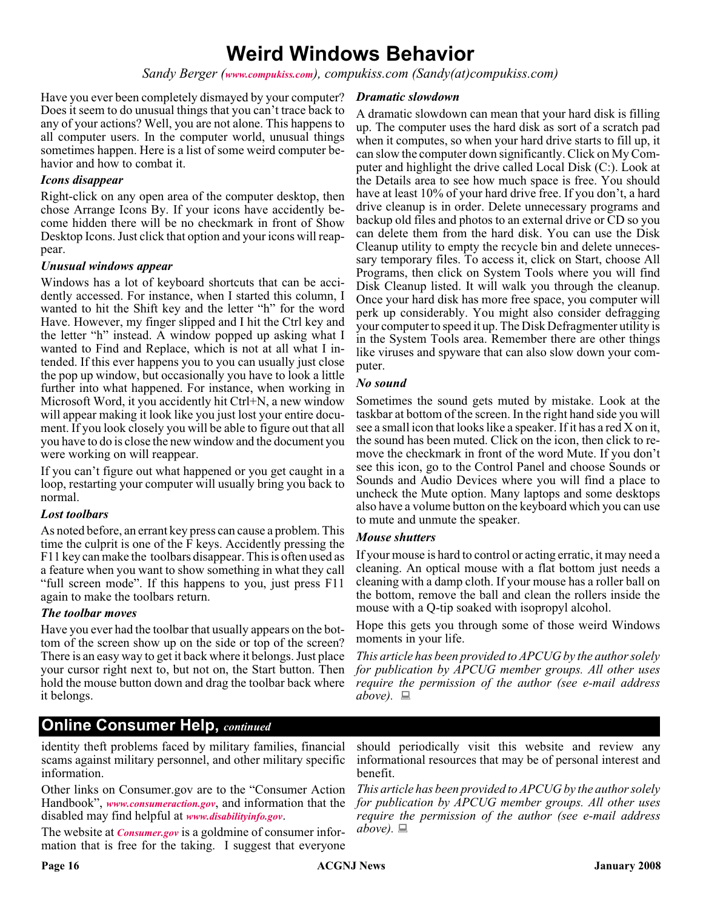### **Weird Windows Behavior**

*Sandy Berger ([www.compukiss.com](http://www.compukiss.com)), compukiss.com (Sandy(at)compukiss.com)*

Have you ever been completely dismayed by your computer? Does it seem to do unusual things that you can't trace back to any of your actions? Well, you are not alone. This happens to all computer users. In the computer world, unusual things sometimes happen. Here is a list of some weird computer behavior and how to combat it.

#### *Icons disappear*

Right-click on any open area of the computer desktop, then chose Arrange Icons By. If your icons have accidently become hidden there will be no checkmark in front of Show Desktop Icons. Just click that option and your icons will reappear.

#### *Unusual windows appear*

Windows has a lot of keyboard shortcuts that can be accidently accessed. For instance, when I started this column, I wanted to hit the Shift key and the letter "h" for the word Have. However, my finger slipped and I hit the Ctrl key and the letter "h" instead. A window popped up asking what I wanted to Find and Replace, which is not at all what I intended. If this ever happens you to you can usually just close the pop up window, but occasionally you have to look a little further into what happened. For instance, when working in Microsoft Word, it you accidently hit Ctrl+N, a new window will appear making it look like you just lost your entire document. If you look closely you will be able to figure out that all you have to do is close the new window and the document you were working on will reappear.

If you can't figure out what happened or you get caught in a loop, restarting your computer will usually bring you back to normal.

#### *Lost toolbars*

As noted before, an errant key press can cause a problem. This time the culprit is one of the F keys. Accidently pressing the F11 key can make the toolbars disappear. This is often used as a feature when you want to show something in what they call "full screen mode". If this happens to you, just press F11 again to make the toolbars return.

#### *The toolbar moves*

Have you ever had the toolbar that usually appears on the bottom of the screen show up on the side or top of the screen? There is an easy way to get it back where it belongs. Just place your cursor right next to, but not on, the Start button. Then hold the mouse button down and drag the toolbar back where it belongs.

#### *Dramatic slowdown*

A dramatic slowdown can mean that your hard disk is filling up. The computer uses the hard disk as sort of a scratch pad when it computes, so when your hard drive starts to fill up, it can slow the computer down significantly. Click on My Computer and highlight the drive called Local Disk (C:). Look at the Details area to see how much space is free. You should have at least 10% of your hard drive free. If you don't, a hard drive cleanup is in order. Delete unnecessary programs and backup old files and photos to an external drive or CD so you can delete them from the hard disk. You can use the Disk Cleanup utility to empty the recycle bin and delete unnecessary temporary files. To access it, click on Start, choose All Programs, then click on System Tools where you will find Disk Cleanup listed. It will walk you through the cleanup. Once your hard disk has more free space, you computer will perk up considerably. You might also consider defragging your computer to speed it up. The Disk Defragmenter utility is in the System Tools area. Remember there are other things like viruses and spyware that can also slow down your computer.

#### *No sound*

Sometimes the sound gets muted by mistake. Look at the taskbar at bottom of the screen. In the right hand side you will see a small icon that looks like a speaker. If it has a red X on it, the sound has been muted. Click on the icon, then click to remove the checkmark in front of the word Mute. If you don't see this icon, go to the Control Panel and choose Sounds or Sounds and Audio Devices where you will find a place to uncheck the Mute option. Many laptops and some desktops also have a volume button on the keyboard which you can use to mute and unmute the speaker.

#### *Mouse shutters*

If your mouse is hard to control or acting erratic, it may need a cleaning. An optical mouse with a flat bottom just needs a cleaning with a damp cloth. If your mouse has a roller ball on the bottom, remove the ball and clean the rollers inside the mouse with a Q-tip soaked with isopropyl alcohol.

Hope this gets you through some of those weird Windows moments in your life.

*This article has been provided to APCUG by the author solely for publication by APCUG member groups. All other uses require the permission of the author (see e-mail address above).*

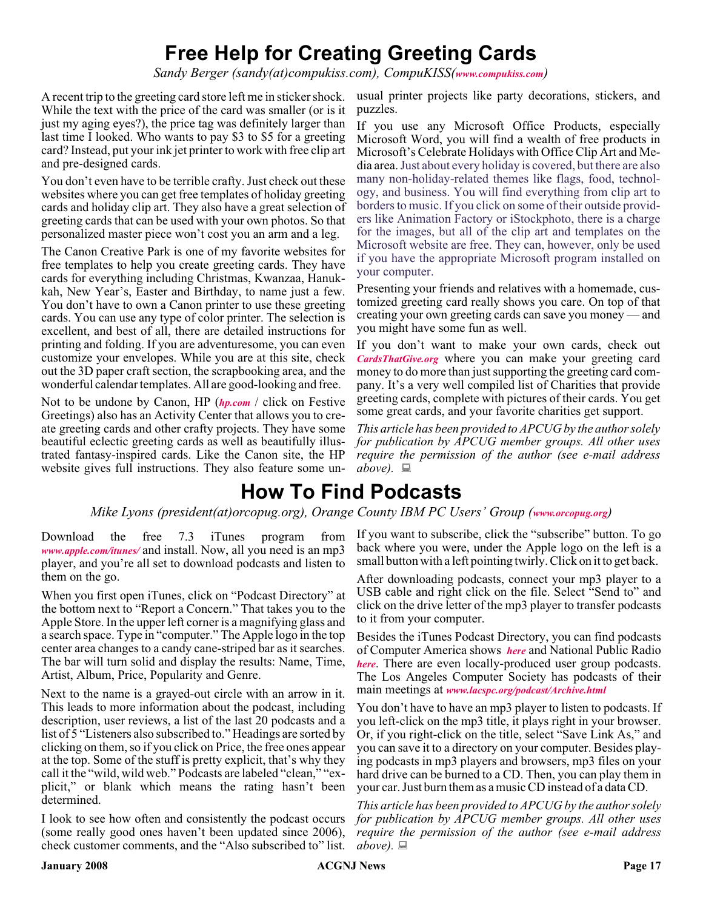### **Free Help for Creating Greeting Cards**

*Sandy Berger (sandy(at)compukiss.com), CompuKISS([www.compukiss.com](http://www.compukiss.com))*

A recent trip to the greeting card store left me in sticker shock. While the text with the price of the card was smaller (or is it just my aging eyes?), the price tag was definitely larger than last time I looked. Who wants to pay \$3 to \$5 for a greeting card? Instead, put your ink jet printer to work with free clip art and pre-designed cards.

You don't even have to be terrible crafty. Just check out these websites where you can get free templates of holiday greeting cards and holiday clip art. They also have a great selection of greeting cards that can be used with your own photos. So that personalized master piece won't cost you an arm and a leg.

The Canon Creative Park is one of my favorite websites for free templates to help you create greeting cards. They have cards for everything including Christmas, Kwanzaa, Hanukkah, New Year's, Easter and Birthday, to name just a few. You don't have to own a Canon printer to use these greeting cards. You can use any type of color printer. The selection is excellent, and best of all, there are detailed instructions for printing and folding. If you are adventuresome, you can even customize your envelopes. While you are at this site, check out the 3D paper craft section, the scrapbooking area, and the wonderful calendar templates. All are good-looking and free.

Not to be undone by Canon, HP (*[hp.com](http://hp.com)* / click on Festive Greetings) also has an Activity Center that allows you to create greeting cards and other crafty projects. They have some beautiful eclectic greeting cards as well as beautifully illustrated fantasy-inspired cards. Like the Canon site, the HP website gives full instructions. They also feature some unusual printer projects like party decorations, stickers, and puzzles.

If you use any Microsoft Office Products, especially Microsoft Word, you will find a wealth of free products in Microsoft's Celebrate Holidays with Office Clip Art and Media area.Just about every holiday is covered, but there are also many non-holiday-related themes like flags, food, technology, and business. You will find everything from clip art to borders to music. If you click on some of their outside providers like Animation Factory or iStockphoto, there is a charge for the images, but all of the clip art and templates on the Microsoft website are free. They can, however, only be used if you have the appropriate Microsoft program installed on your computer.

Presenting your friends and relatives with a homemade, customized greeting card really shows you care. On top of that creating your own greeting cards can save you money — and you might have some fun as well.

If you don't want to make your own cards, check out *[CardsThatGive.org](http://CardsThatGive.org)* where you can make your greeting card money to do more than just supporting the greeting card company. It's a very well compiled list of Charities that provide greeting cards, complete with pictures of their cards. You get some great cards, and your favorite charities get support.

*This article has been provided to APCUG by the author solely for publication by APCUG member groups. All other uses require the permission of the author (see e-mail address above).*

### **How To Find Podcasts**

#### *Mike Lyons (president(at)orcopug.org), Orange County IBM PC Users' Group ([www.orcopug.org](http://www.orcopug.org))*

Download the free 7.3 iTunes program from *[www.apple.com/itunes/](http://www.apple.com/itunes/)* and install. Now, all you need is an mp3 player, and you're all set to download podcasts and listen to them on the go.

When you first open iTunes, click on "Podcast Directory" at the bottom next to "Report a Concern." That takes you to the Apple Store. In the upper left corner is a magnifying glass and a search space. Type in "computer." The Apple logo in the top center area changes to a candy cane-striped bar as it searches. The bar will turn solid and display the results: Name, Time, Artist, Album, Price, Popularity and Genre.

Next to the name is a grayed-out circle with an arrow in it. This leads to more information about the podcast, including description, user reviews, a list of the last 20 podcasts and a list of 5 "Listeners also subscribed to." Headings are sorted by clicking on them, so if you click on Price, the free ones appear at the top. Some of the stuff is pretty explicit, that's why they call it the "wild, wild web." Podcasts are labeled "clean," "explicit," or blank which means the rating hasn't been determined.

I look to see how often and consistently the podcast occurs (some really good ones haven't been updated since 2006), check customer comments, and the "Also subscribed to" list.

If you want to subscribe, click the "subscribe" button. To go back where you were, under the Apple logo on the left is a small button with a left pointing twirly. Click on it to get back.

After downloading podcasts, connect your mp3 player to a USB cable and right click on the file. Select "Send to" and click on the drive letter of the mp3 player to transfer podcasts to it from your computer.

Besides the iTunes Podcast Directory, you can find podcasts of Computer America shows *[here](http://www.businesstalkradio.net/weekday_ host/Archives/cc.shtml)* and National Public Radio *[here](http://www.npr.org/rss/podcast/podcast_directory.php)*. There are even locally-produced user group podcasts. The Los Angeles Computer Society has podcasts of their main meetings at *[www.lacspc.org/podcast/Archive.html](http://www.lacspc.org/podcast/Archive.html)*

You don't have to have an mp3 player to listen to podcasts. If you left-click on the mp3 title, it plays right in your browser. Or, if you right-click on the title, select "Save Link As," and you can save it to a directory on your computer. Besides playing podcasts in mp3 players and browsers, mp3 files on your hard drive can be burned to a CD. Then, you can play them in your car. Just burn them as a music CD instead of a data CD.

*This article has been provided to APCUG by the author solely for publication by APCUG member groups. All other uses require the permission of the author (see e-mail address above).*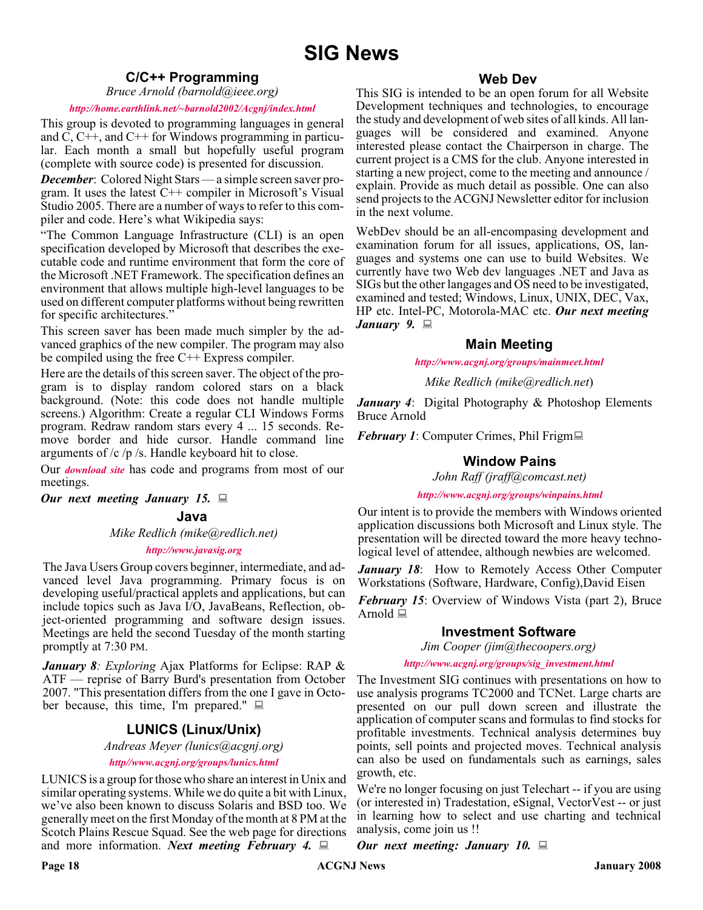#### **C/C++ Programming**

*Bruce Arnold (barnold@ieee.org)*

#### *<http://home.earthlink.net/~barnold2002/Acgnj/index.html>*

This group is devoted to programming languages in general and C, C++, and C++ for Windows programming in particular. Each month a small but hopefully useful program (complete with source code) is presented for discussion.

*December*: Colored Night Stars — a simple screen saver program. It uses the latest  $C++$  compiler in Microsoft's Visual Studio 2005. There are a number of ways to refer to this compiler and code. Here's what Wikipedia says:

"The Common Language Infrastructure (CLI) is an open specification developed by Microsoft that describes the executable code and runtime environment that form the core of the Microsoft .NET Framework. The specification defines an environment that allows multiple high-level languages to be used on different computer platforms without being rewritten for specific architectures."

This screen saver has been made much simpler by the advanced graphics of the new compiler. The program may also be compiled using the free C++ Express compiler.

Here are the details of this screen saver. The object of the program is to display random colored stars on a black background. (Note: this code does not handle multiple screens.) Algorithm: Create a regular CLI Windows Forms program. Redraw random stars every 4 ... 15 seconds. Remove border and hide cursor. Handle command line arguments of /c /p /s. Handle keyboard hit to close.

Our *[download site](http://home.earthlink.net/~barnold2002/Acgnj/Download.htm)* has code and programs from most of our meetings.

*Our next meeting January 15.*

#### **Java**

#### *Mike Redlich (mike@redlich.net) <http://www.javasig.org>*

The Java Users Group covers beginner, intermediate, and advanced level Java programming. Primary focus is on developing useful/practical applets and applications, but can include topics such as Java I/O, JavaBeans, Reflection, object-oriented programming and software design issues. Meetings are held the second Tuesday of the month starting promptly at 7:30 PM.

*January 8: Exploring* Ajax Platforms for Eclipse: RAP & ATF — reprise of Barry Burd's presentation from October 2007. "This presentation differs from the one I gave in October because, this time, I'm prepared."  $\Box$ 

#### **LUNICS (Linux/Unix)**

*Andreas Meyer (lunics@acgnj.org)*

#### *<http//www.acgnj.org/groups/lunics.html>*

LUNICS is a group for those who share an interest in Unix and similar operating systems. While we do quite a bit with Linux, we've also been known to discuss Solaris and BSD too. We generally meet on the first Monday of the month at 8 PM at the Scotch Plains Rescue Squad. See the web page for directions and more information. *Next meeting February 4.*

#### **Web Dev**

This SIG is intended to be an open forum for all Website Development techniques and technologies, to encourage the study and development of web sites of all kinds. All languages will be considered and examined. Anyone interested please contact the Chairperson in charge. The current project is a CMS for the club. Anyone interested in starting a new project, come to the meeting and announce / explain. Provide as much detail as possible. One can also send projects to the ACGNJ Newsletter editor for inclusion in the next volume.

WebDev should be an all-encompasing development and examination forum for all issues, applications, OS, languages and systems one can use to build Websites. We currently have two Web dev languages .NET and Java as SIGs but the other langages and OS need to be investigated, examined and tested; Windows, Linux, UNIX, DEC, Vax, HP etc. Intel-PC, Motorola-MAC etc. *Our next meeting January 9.*

#### **Main Meeting**

*<http://www.acgnj.org/groups/mainmeet.html>*

*Mike Redlich (mike@redlich.net*)

*January 4*: Digital Photography & Photoshop Elements Bruce Arnold

*February 1*: Computer Crimes, Phil Frigm■

#### **Window Pains**

*John Raff (jraff@comcast.net)*

*<http://www.acgnj.org/groups/winpains.html>*

Our intent is to provide the members with Windows oriented application discussions both Microsoft and Linux style. The presentation will be directed toward the more heavy technological level of attendee, although newbies are welcomed.

*January 18*: How to Remotely Access Other Computer Workstations (Software, Hardware, Config),David Eisen

*February 15*: Overview of Windows Vista (part 2), Bruce Arnold  $\Box$ 

#### **Investment Software**

*Jim Cooper (jim@thecoopers.org)*

#### *[http://www.acgnj.org/groups/sig\\_investment.html](http://www.acgnj.org/groups/sig_investment.html)*

The Investment SIG continues with presentations on how to use analysis programs TC2000 and TCNet. Large charts are presented on our pull down screen and illustrate the application of computer scans and formulas to find stocks for profitable investments. Technical analysis determines buy points, sell points and projected moves. Technical analysis can also be used on fundamentals such as earnings, sales growth, etc.

We're no longer focusing on just Telechart -- if you are using (or interested in) Tradestation, eSignal, VectorVest -- or just in learning how to select and use charting and technical analysis, come join us !!

*Our next meeting: January 10.*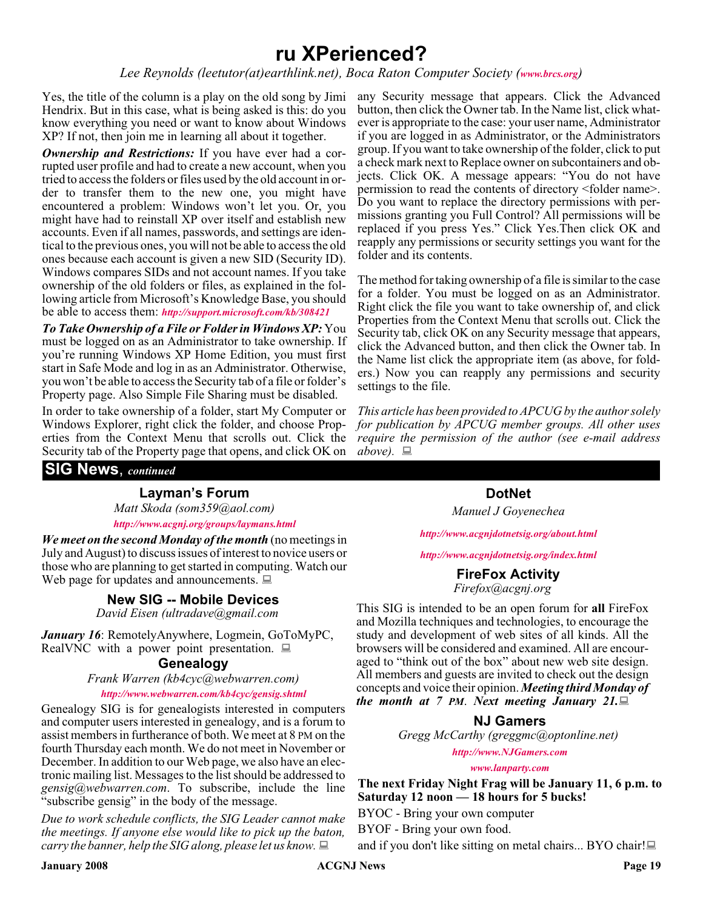### **ru XPerienced?**

*Lee Reynolds (leetutor(at)earthlink.net), Boca Raton Computer Society ([www.brcs.org](http://www.brcs.org))*

Yes, the title of the column is a play on the old song by Jimi any Security message that appears. Click the Advanced Hendrix. But in this case, what is being asked is this: do you know everything you need or want to know about Windows XP? If not, then join me in learning all about it together.

*Ownership and Restrictions:* If you have ever had a corrupted user profile and had to create a new account, when you tried to access the folders or files used by the old account in order to transfer them to the new one, you might have encountered a problem: Windows won't let you. Or, you might have had to reinstall XP over itself and establish new accounts. Even if all names, passwords, and settings are identical to the previous ones, you will not be able to access the old ones because each account is given a new SID (Security ID). Windows compares SIDs and not account names. If you take ownership of the old folders or files, as explained in the following article from Microsoft's Knowledge Base, you should be able to access them: *<http://support.microsoft.com/kb/308421>*

*To Take Ownership of a File or Folder in Windows XP:* You must be logged on as an Administrator to take ownership. If you're running Windows XP Home Edition, you must first start in Safe Mode and log in as an Administrator. Otherwise, you won't be able to access the Security tab of a file or folder's Property page. Also Simple File Sharing must be disabled.

In order to take ownership of a folder, start My Computer or Windows Explorer, right click the folder, and choose Properties from the Context Menu that scrolls out. Click the Security tab of the Property page that opens, and click OK on

button, then click the Owner tab. In the Name list, click whatever is appropriate to the case: your user name, Administrator if you are logged in as Administrator, or the Administrators group. If you want to take ownership of the folder, click to put a check mark next to Replace owner on subcontainers and objects. Click OK. A message appears: "You do not have permission to read the contents of directory <folder name>. Do you want to replace the directory permissions with permissions granting you Full Control? All permissions will be replaced if you press Yes." Click Yes.Then click OK and reapply any permissions or security settings you want for the folder and its contents.

The method for taking ownership of a file is similar to the case for a folder. You must be logged on as an Administrator. Right click the file you want to take ownership of, and click Properties from the Context Menu that scrolls out. Click the Security tab, click OK on any Security message that appears, click the Advanced button, and then click the Owner tab. In the Name list click the appropriate item (as above, for folders.) Now you can reapply any permissions and security settings to the file.

*This article has been provided to APCUG by the author solely for publication by APCUG member groups. All other uses require the permission of the author (see e-mail address*  $above. \equiv$ 

#### **SIG News**, *continued*

#### **Layman's Forum**

*Matt Skoda (som359@aol.com) <http://www.acgnj.org/groups/laymans.html>*

*We meet on the second Monday of the month* (no meetings in July and August) to discuss issues of interest to novice users or those who are planning to get started in computing. Watch our which are plaining to get started in computing. Watch our **FireFox Activity**<br>Web page for updates and announcements.  $\Box$ 

#### **New SIG -- Mobile Devices**

*David Eisen (ultradave@gmail.com*

*January 16*: RemotelyAnywhere, Logmein, GoToMyPC, RealVNC with a power point presentation.  $\Box$ 

#### **Genealogy**

*Frank Warren (kb4cyc@webwarren.com)*

*<http://www.webwarren.com/kb4cyc/gensig.shtml>*

Genealogy SIG is for genealogists interested in computers and computer users interested in genealogy, and is a forum to assist members in furtherance of both. We meet at 8 PM on the fourth Thursday each month. We do not meet in November or December. In addition to our Web page, we also have an electronic mailing list. Messages to the list should be addressed to *gensig@webwarren.com*. To subscribe, include the line "subscribe gensig" in the body of the message.

*Due to work schedule conflicts, the SIG Leader cannot make the meetings. If anyone else would like to pick up the baton, carry the banner, help the SIG along, please let us know.*

**DotNet** *Manuel J Goyenechea*

*<http://www.acgnjdotnetsig.org/about.html>*

*<http://www.acgnjdotnetsig.org/index.html>*

*Firefox@acgnj.org*

This SIG is intended to be an open forum for **all** FireFox and Mozilla techniques and technologies, to encourage the study and development of web sites of all kinds. All the browsers will be considered and examined. All are encouraged to "think out of the box" about new web site design. All members and guests are invited to check out the design concepts and voice their opinion. *Meeting third Monday of the month at 7 PM*. *Next meeting January 21.*

#### **NJ Gamers**

*Gregg McCarthy (greggmc@optonline.net)*

*<http://www.NJGamers.com>*

*[www.lanparty.com](http://www.lanparty.com)*

**The next Friday Night Frag will be January 11, 6 p.m. to Saturday 12 noon — 18 hours for 5 bucks!**

BYOC - Bring your own computer

BYOF - Bring your own food.

and if you don't like sitting on metal chairs... BYO chair!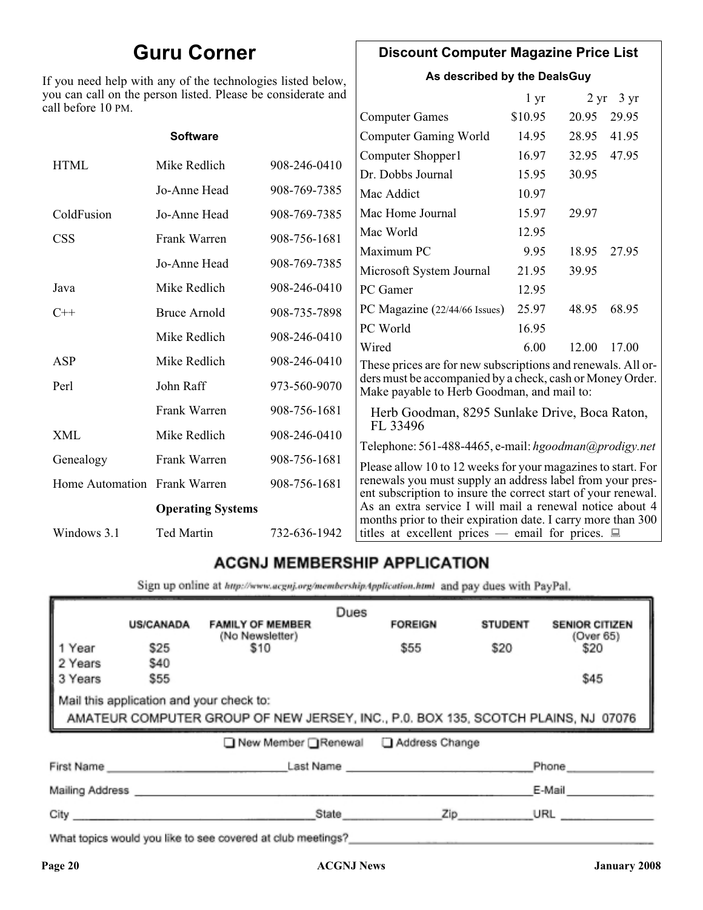### **Guru Corner**

If you need help with any of the technologies listed below, you can call on the person listed. Please be considerate and ca

#### **Discount Computer Magazine Price List**

**As described by the DealsGuy**

 $1 \text{ yr}$   $2 \text{ yr}$   $3 \text{ yr}$ 

| ll before 10 PM.             |                          |              |                                                                                                                            |         |       |       |
|------------------------------|--------------------------|--------------|----------------------------------------------------------------------------------------------------------------------------|---------|-------|-------|
|                              |                          |              | <b>Computer Games</b>                                                                                                      | \$10.95 | 20.95 | 29.95 |
|                              | <b>Software</b>          |              | <b>Computer Gaming World</b>                                                                                               | 14.95   | 28.95 | 41.95 |
| <b>HTML</b>                  | Mike Redlich             | 908-246-0410 | Computer Shopper1                                                                                                          | 16.97   | 32.95 | 47.95 |
|                              |                          |              | Dr. Dobbs Journal                                                                                                          | 15.95   | 30.95 |       |
|                              | Jo-Anne Head             | 908-769-7385 | Mac Addict                                                                                                                 | 10.97   |       |       |
| ColdFusion                   | Jo-Anne Head             | 908-769-7385 | Mac Home Journal                                                                                                           | 15.97   | 29.97 |       |
| <b>CSS</b>                   | Frank Warren             | 908-756-1681 | Mac World                                                                                                                  | 12.95   |       |       |
|                              |                          |              | Maximum PC                                                                                                                 | 9.95    | 18.95 | 27.95 |
|                              | Jo-Anne Head             | 908-769-7385 | Microsoft System Journal                                                                                                   | 21.95   | 39.95 |       |
| Java                         | Mike Redlich             | 908-246-0410 | PC Gamer                                                                                                                   | 12.95   |       |       |
| $C++$                        | <b>Bruce Arnold</b>      | 908-735-7898 | PC Magazine (22/44/66 Issues)                                                                                              | 25.97   | 48.95 | 68.95 |
|                              | Mike Redlich             | 908-246-0410 | PC World                                                                                                                   | 16.95   |       |       |
|                              |                          |              | Wired                                                                                                                      | 6.00    | 12.00 | 17.00 |
| ASP                          | Mike Redlich             | 908-246-0410 | These prices are for new subscriptions and renewals. All or-                                                               |         |       |       |
| Perl                         | John Raff                | 973-560-9070 | ders must be accompanied by a check, cash or Money Order.<br>Make payable to Herb Goodman, and mail to:                    |         |       |       |
|                              | Frank Warren             | 908-756-1681 | Herb Goodman, 8295 Sunlake Drive, Boca Raton,                                                                              |         |       |       |
| XML                          | Mike Redlich             | 908-246-0410 | FL 33496<br>Telephone: 561-488-4465, e-mail: hgoodman@prodigy.net                                                          |         |       |       |
| Genealogy                    | Frank Warren             | 908-756-1681 | Please allow 10 to 12 weeks for your magazines to start. For                                                               |         |       |       |
| Home Automation Frank Warren |                          | 908-756-1681 | renewals you must supply an address label from your pres-<br>ent subscription to insure the correct start of your renewal. |         |       |       |
|                              | <b>Operating Systems</b> |              | As an extra service I will mail a renewal notice about 4                                                                   |         |       |       |
| Windows 3.1                  | Ted Martin               | 732-636-1942 | months prior to their expiration date. I carry more than 300<br>titles at excellent prices — email for prices. $\Box$      |         |       |       |
|                              |                          |              |                                                                                                                            |         |       |       |

### **ACGNJ MEMBERSHIP APPLICATION**

Sign up online at http://www.acgnj.org/membershipApplication.html and pay dues with PayPal.

|                                                                                                                               |             | <b>FAMILY OF MEMBER</b><br>(No Newsletter) |       | <b>FOREIGN</b> | <b>STUDENT</b> | <b>SENIOR CITIZEN</b><br>(Over 65) |
|-------------------------------------------------------------------------------------------------------------------------------|-------------|--------------------------------------------|-------|----------------|----------------|------------------------------------|
| 1 Year                                                                                                                        | \$25        | \$10                                       |       | \$55           | \$20           | \$20                               |
| 2 Years                                                                                                                       | <b>\$40</b> |                                            |       |                |                |                                    |
| 3 Years                                                                                                                       | \$55        |                                            |       |                |                | \$45                               |
| Mail this application and your check to:<br>AMATEUR COMPUTER GROUP OF NEW JERSEY, INC., P.0. BOX 135, SCOTCH PLAINS, NJ 07076 |             |                                            |       |                |                |                                    |
|                                                                                                                               |             | ■ New Member Renewal ■ Address Change      |       |                |                |                                    |
| First Name                                                                                                                    |             |                                            |       | Last Name      |                | Phone                              |
| Mailing Address ___________                                                                                                   |             |                                            |       |                |                | E-Mail                             |
| City                                                                                                                          |             |                                            | State | Zip            |                | URL                                |

What topics would you like to see covered at club meetings?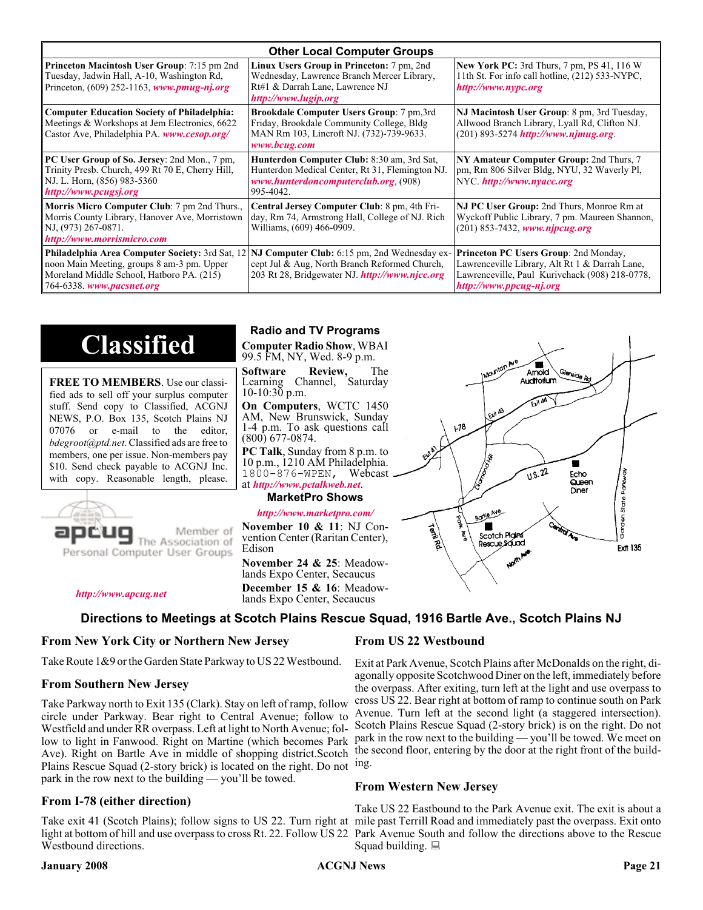| <b>Other Local Computer Groups</b>                                                                                                                         |                                                                                                                                                                                                        |                                                                                                                                                                             |  |  |  |
|------------------------------------------------------------------------------------------------------------------------------------------------------------|--------------------------------------------------------------------------------------------------------------------------------------------------------------------------------------------------------|-----------------------------------------------------------------------------------------------------------------------------------------------------------------------------|--|--|--|
| <b>Princeton Macintosh User Group:</b> 7:15 pm 2nd<br>Tuesday, Jadwin Hall, A-10, Washington Rd,<br>Princeton, $(609)$ 252-1163, www.pmug-nj.org           | Linux Users Group in Princeton: 7 pm, 2nd<br>Wednesday, Lawrence Branch Mercer Library,<br>Rt#1 & Darrah Lane, Lawrence NJ<br>http://www.lugip.org                                                     | <b>New York PC:</b> 3rd Thurs, 7 pm, PS 41, 116 W<br>11th St. For info call hotline, (212) 533-NYPC,<br>http://www.nypc.org                                                 |  |  |  |
| <b>Computer Education Society of Philadelphia:</b><br>Meetings & Workshops at Jem Electronics, 6622<br>Castor Ave, Philadelphia PA. www.cesop.org/         | <b>Brookdale Computer Users Group:</b> 7 pm, 3rd<br>Friday, Brookdale Community College, Bldg<br>MAN Rm 103, Lincroft NJ. (732)-739-9633.<br>www.bcug.com                                              | NJ Macintosh User Group: 8 pm, 3rd Tuesday,<br>Allwood Branch Library, Lyall Rd, Clifton NJ.<br>$(201)$ 893-5274 http://www.njmug.org.                                      |  |  |  |
| PC User Group of So. Jersey: 2nd Mon., 7 pm,<br>Trinity Presb. Church, 499 Rt 70 E, Cherry Hill,<br>NJ. L. Horn, (856) 983-5360<br>http://www.pcugsj.org   | Hunterdon Computer Club: 8:30 am, 3rd Sat,<br>Hunterdon Medical Center, Rt 31, Flemington NJ.<br>www.hunterdoncomputerclub.org (908)<br>995-4042.                                                      | NY Amateur Computer Group: 2nd Thurs, 7<br>pm, Rm 806 Silver Bldg, NYU, 32 Waverly Pl,<br>NYC.http://www.nyacc.org                                                          |  |  |  |
| <b>Morris Micro Computer Club:</b> 7 pm 2nd Thurs.,<br>Morris County Library, Hanover Ave, Morristown<br>NJ, (973) 267-0871.<br>http://www.morrismicro.com | Central Jersey Computer Club: 8 pm, 4th Fri-<br>day, Rm 74, Armstrong Hall, College of NJ. Rich<br>Williams, (609) 466-0909.                                                                           | NJ PC User Group: 2nd Thurs, Monroe Rm at<br>Wyckoff Public Library, 7 pm. Maureen Shannon,<br>$(201)$ 853-7432, www.njpcug.org                                             |  |  |  |
| noon Main Meeting, groups 8 am-3 pm. Upper<br>Moreland Middle School, Hatboro PA. (215)<br>764-6338. www.pacsnet.org                                       | <b>Philadelphia Area Computer Society: 3rd Sat, 12 NJ Computer Club: 6:15 pm, 2nd Wednesday ex-</b><br>cept Jul & Aug, North Branch Reformed Church,<br>203 Rt 28, Bridgewater NJ. http://www.njcc.org | <b>Princeton PC Users Group: 2nd Monday,</b><br>Lawrenceville Library, Alt Rt 1 & Darrah Lane,<br>Lawrenceville, Paul Kurivchack (908) 218-0778,<br>http://www.ppcug-nj.org |  |  |  |

## **Classified**

**FREE TO MEMBERS**. Use our classified ads to sell off your surplus computer stuff. Send copy to Classified, ACGNJ NEWS, P.O. Box 135, Scotch Plains NJ 07076 or e-mail to the editor, *bdegroot@ptd.net*. Classified ads are free to members, one per issue. Non-members pay \$10. Send check payable to ACGNJ Inc. with copy. Reasonable length, please.



Member of The Association of

*<http://www.apcug.net>*

#### **Radio and TV Programs**

**Computer Radio Show**, WBAI 99.5 FM, NY, Wed. 8-9 p.m.

**Software Review,** The Learning Channel, Saturday 10-10:30 p.m.

**On Computers**, WCTC 1450 AM, New Brunswick, Sunday 1-4 p.m. To ask questions call (800) 677-0874.

**PC Talk**, Sunday from 8 p.m. to 10 p.m., 1210 AM Philadelphia. 1800-876-WPEN, Webcast at *<http://www.pctalkweb.net>*.

#### **MarketPro Shows**

#### *<http://www.marketpro.com/>*

**November 10 & 11**: NJ Convention Center (Raritan Center), Edison

**December 15 & 16**: Meadow-<br>lands Expo Center, Secaucus



 $178$ 

#### **Directions to Meetings at Scotch Plains Rescue Squad, 1916 Bartle Ave., Scotch Plains NJ**

#### **From New York City or Northern New Jersey**

Take Route 1&9 or the Garden State Parkway to US 22 Westbound.

#### **From Southern New Jersey**

Take Parkway north to Exit 135 (Clark). Stay on left of ramp, follow circle under Parkway. Bear right to Central Avenue; follow to Westfield and under RR overpass. Left at light to North Avenue; follow to light in Fanwood. Right on Martine (which becomes Park Ave). Right on Bartle Ave in middle of shopping district.Scotch Plains Rescue Squad (2-story brick) is located on the right. Do not ing. park in the row next to the building — you'll be towed.

#### **From I-78 (either direction)**

Take exit 41 (Scotch Plains); follow signs to US 22. Turn right at mile past Terrill Road and immediately past the overpass. Exit onto light at bottom of hill and use overpass to cross Rt. 22. Follow US 22 Park Avenue South and follow the directions above to the Rescue Westbound directions.

#### **From US 22 Westbound**

Exit at Park Avenue, Scotch Plains after McDonalds on the right, diagonally opposite Scotchwood Diner on the left, immediately before the overpass. After exiting, turn left at the light and use overpass to cross US 22. Bear right at bottom of ramp to continue south on Park Avenue. Turn left at the second light (a staggered intersection). Scotch Plains Rescue Squad (2-story brick) is on the right. Do not park in the row next to the building — you'll be towed. We meet on the second floor, entering by the door at the right front of the build-

 $\blacksquare$ Amold **Auditorium** 

 $\sqrt{1.5 \cdot 22}$ 

Fcho

Queen Diner

#### **From Western New Jersey**

Take US 22 Eastbound to the Park Avenue exit. The exit is about a Squad building.  $\Box$